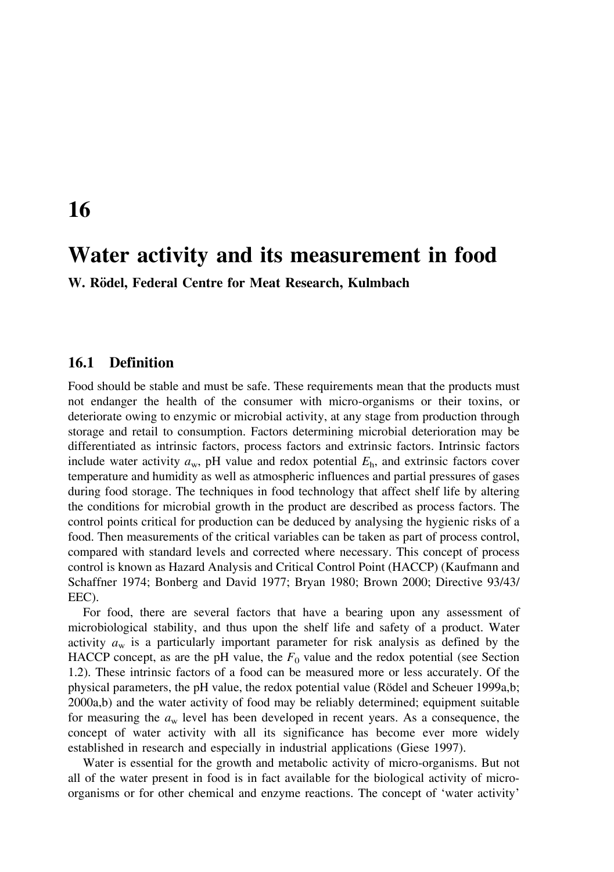# **16**

# **Water activity and its measurement in food**

**W. Ro¨del, Federal Centre for Meat Research, Kulmbach**

# **16.1 Definition**

Food should be stable and must be safe. These requirements mean that the products must not endanger the health of the consumer with micro-organisms or their toxins, or deteriorate owing to enzymic or microbial activity, at any stage from production through storage and retail to consumption. Factors determining microbial deterioration may be differentiated as intrinsic factors, process factors and extrinsic factors. Intrinsic factors include water activity  $a_w$ , pH value and redox potential  $E_h$ , and extrinsic factors cover temperature and humidity as well as atmospheric influences and partial pressures of gases during food storage. The techniques in food technology that affect shelf life by altering the conditions for microbial growth in the product are described as process factors. The control points critical for production can be deduced by analysing the hygienic risks of a food. Then measurements of the critical variables can be taken as part of process control, compared with standard levels and corrected where necessary. This concept of process control is known as Hazard Analysis and Critical Control Point (HACCP) (Kaufmann and Schaffner 1974; Bonberg and David 1977; Bryan 1980; Brown 2000; Directive 93/43/ EEC).

For food, there are several factors that have a bearing upon any assessment of microbiological stability, and thus upon the shelf life and safety of a product. Water activity  $a_w$  is a particularly important parameter for risk analysis as defined by the HACCP concept, as are the pH value, the  $F_0$  value and the redox potential (see Section 1.2). These intrinsic factors of a food can be measured more or less accurately. Of the physical parameters, the pH value, the redox potential value (Rödel and Scheuer 1999a,b; 2000a,b) and the water activity of food may be reliably determined; equipment suitable for measuring the *a*<sup>w</sup> level has been developed in recent years. As a consequence, the concept of water activity with all its significance has become ever more widely established in research and especially in industrial applications (Giese 1997).

Water is essential for the growth and metabolic activity of micro-organisms. But not all of the water present in food is in fact available for the biological activity of microorganisms or for other chemical and enzyme reactions. The concept of 'water activity'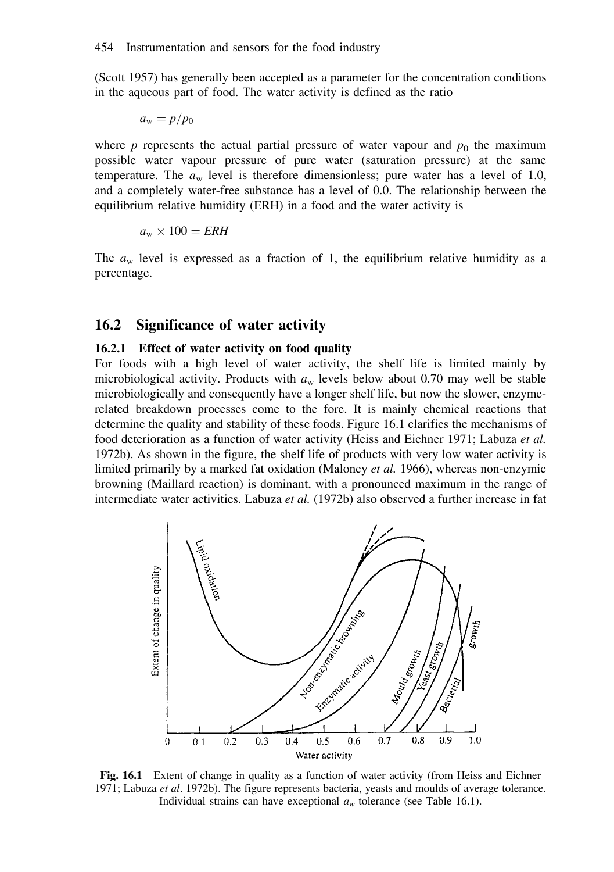454 Instrumentation and sensors for the food industry

(Scott 1957) has generally been accepted as a parameter for the concentration conditions in the aqueous part of food. The water activity is defined as the ratio

$$
a_{\rm w}=p/p_0
$$

where  $p$  represents the actual partial pressure of water vapour and  $p_0$  the maximum possible water vapour pressure of pure water (saturation pressure) at the same temperature. The  $a_w$  level is therefore dimensionless; pure water has a level of 1.0, and a completely water-free substance has a level of 0.0. The relationship between the equilibrium relative humidity (ERH) in a food and the water activity is

 $a_w \times 100 = ERH$ 

The  $a_w$  level is expressed as a fraction of 1, the equilibrium relative humidity as a percentage.

## **16.2 Significance of water activity**

#### **16.2.1 Effect of water activity on food quality**

For foods with a high level of water activity, the shelf life is limited mainly by microbiological activity. Products with  $a_w$  levels below about 0.70 may well be stable microbiologically and consequently have a longer shelf life, but now the slower, enzymerelated breakdown processes come to the fore. It is mainly chemical reactions that determine the quality and stability of these foods. Figure 16.1 clarifies the mechanisms of food deterioration as a function of water activity (Heiss and Eichner 1971; Labuza *et al.* 1972b). As shown in the figure, the shelf life of products with very low water activity is limited primarily by a marked fat oxidation (Maloney *et al.* 1966), whereas non-enzymic browning (Maillard reaction) is dominant, with a pronounced maximum in the range of intermediate water activities. Labuza *et al.* (1972b) also observed a further increase in fat



**Fig. 16.1** Extent of change in quality as a function of water activity (from Heiss and Eichner 1971; Labuza *et al*. 1972b). The figure represents bacteria, yeasts and moulds of average tolerance. Individual strains can have exceptional  $a_w$  tolerance (see Table 16.1).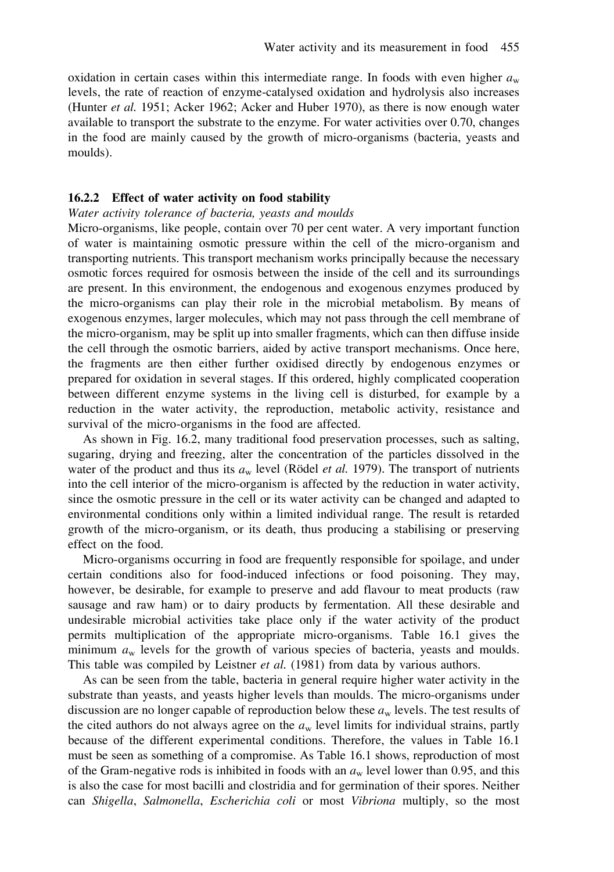oxidation in certain cases within this intermediate range. In foods with even higher  $a_w$ levels, the rate of reaction of enzyme-catalysed oxidation and hydrolysis also increases (Hunter *et al.* 1951; Acker 1962; Acker and Huber 1970), as there is now enough water available to transport the substrate to the enzyme. For water activities over 0.70, changes in the food are mainly caused by the growth of micro-organisms (bacteria, yeasts and moulds).

#### **16.2.2 Effect of water activity on food stability**

#### *Water activity tolerance of bacteria, yeasts and moulds*

Micro-organisms, like people, contain over 70 per cent water. A very important function of water is maintaining osmotic pressure within the cell of the micro-organism and transporting nutrients. This transport mechanism works principally because the necessary osmotic forces required for osmosis between the inside of the cell and its surroundings are present. In this environment, the endogenous and exogenous enzymes produced by the micro-organisms can play their role in the microbial metabolism. By means of exogenous enzymes, larger molecules, which may not pass through the cell membrane of the micro-organism, may be split up into smaller fragments, which can then diffuse inside the cell through the osmotic barriers, aided by active transport mechanisms. Once here, the fragments are then either further oxidised directly by endogenous enzymes or prepared for oxidation in several stages. If this ordered, highly complicated cooperation between different enzyme systems in the living cell is disturbed, for example by a reduction in the water activity, the reproduction, metabolic activity, resistance and survival of the micro-organisms in the food are affected.

As shown in Fig. 16.2, many traditional food preservation processes, such as salting, sugaring, drying and freezing, alter the concentration of the particles dissolved in the water of the product and thus its  $a_w$  level (Rödel *et al.* 1979). The transport of nutrients into the cell interior of the micro-organism is affected by the reduction in water activity, since the osmotic pressure in the cell or its water activity can be changed and adapted to environmental conditions only within a limited individual range. The result is retarded growth of the micro-organism, or its death, thus producing a stabilising or preserving effect on the food.

Micro-organisms occurring in food are frequently responsible for spoilage, and under certain conditions also for food-induced infections or food poisoning. They may, however, be desirable, for example to preserve and add flavour to meat products (raw sausage and raw ham) or to dairy products by fermentation. All these desirable and undesirable microbial activities take place only if the water activity of the product permits multiplication of the appropriate micro-organisms. Table 16.1 gives the minimum *a*<sup>w</sup> levels for the growth of various species of bacteria, yeasts and moulds. This table was compiled by Leistner *et al.* (1981) from data by various authors.

As can be seen from the table, bacteria in general require higher water activity in the substrate than yeasts, and yeasts higher levels than moulds. The micro-organisms under discussion are no longer capable of reproduction below these *a*<sup>w</sup> levels. The test results of the cited authors do not always agree on the  $a_w$  level limits for individual strains, partly because of the different experimental conditions. Therefore, the values in Table 16.1 must be seen as something of a compromise. As Table 16.1 shows, reproduction of most of the Gram-negative rods is inhibited in foods with an *a*<sup>w</sup> level lower than 0.95, and this is also the case for most bacilli and clostridia and for germination of their spores. Neither can *Shigella*, *Salmonella*, *Escherichia coli* or most *Vibriona* multiply, so the most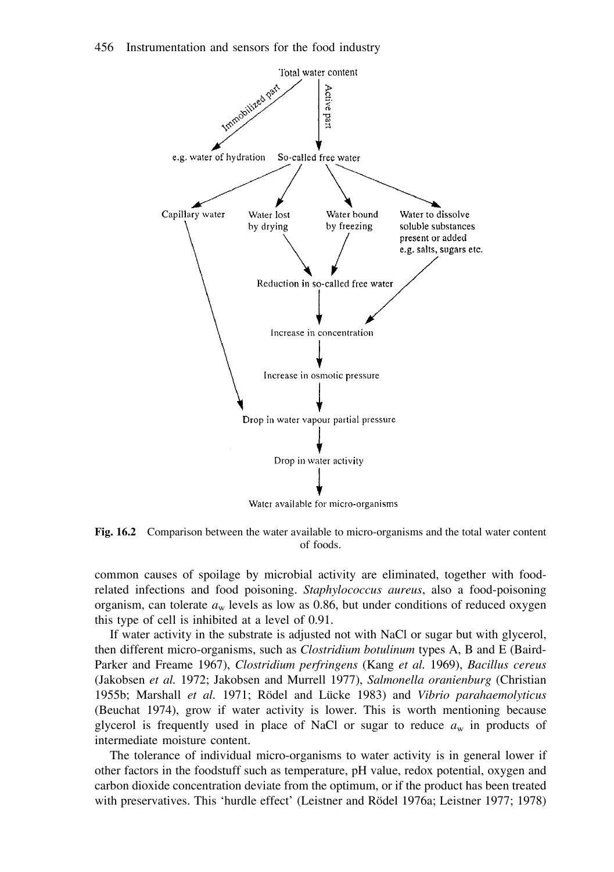

**Fig. 16.2** Comparison between the water available to micro-organisms and the total water content of foods.

common causes of spoilage by microbial activity are eliminated, together with foodrelated infections and food poisoning. *Staphylococcus aureus*, also a food-poisoning organism, can tolerate  $a_w$  levels as low as 0.86, but under conditions of reduced oxygen this type of cell is inhibited at a level of 0.91.

If water activity in the substrate is adjusted not with NaCl or sugar but with glycerol, then different micro-organisms, such as *Clostridium botulinum* types A, B and E (Baird-Parker and Freame 1967), *Clostridium perfringens* (Kang *et al.* 1969), *Bacillus cereus* (Jakobsen *et al.* 1972; Jakobsen and Murrell 1977), *Salmonella oranienburg* (Christian 1955b; Marshall et al. 1971; Rödel and Lücke 1983) and *Vibrio parahaemolyticus* (Beuchat 1974), grow if water activity is lower. This is worth mentioning because glycerol is frequently used in place of NaCl or sugar to reduce  $a_w$  in products of intermediate moisture content.

The tolerance of individual micro-organisms to water activity is in general lower if other factors in the foodstuff such as temperature, pH value, redox potential, oxygen and carbon dioxide concentration deviate from the optimum, or if the product has been treated with preservatives. This 'hurdle effect' (Leistner and Rödel 1976a; Leistner 1977; 1978)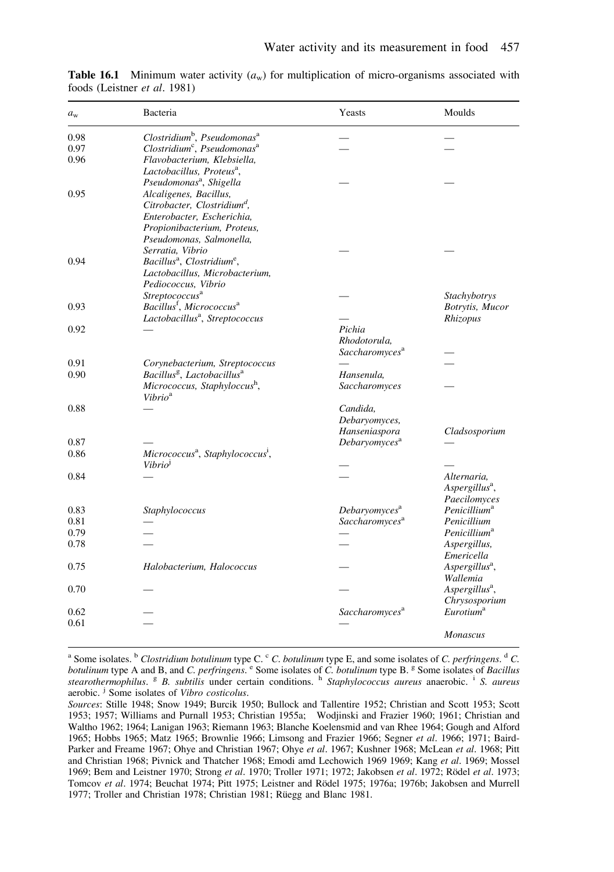| $a_{\rm w}$ | Bacteria                                                                             | Yeasts                     | Moulds                                 |
|-------------|--------------------------------------------------------------------------------------|----------------------------|----------------------------------------|
| 0.98        | Clostridium <sup>b</sup> , Pseudomonas <sup>a</sup>                                  |                            |                                        |
| 0.97        | Clostridium <sup>c</sup> , Pseudomonas <sup>a</sup>                                  |                            |                                        |
| 0.96        | Flavobacterium, Klebsiella,                                                          |                            |                                        |
|             | Lactobacillus, Proteus <sup>a</sup> ,                                                |                            |                                        |
|             | Pseudomonas <sup>a</sup> , Shigella                                                  |                            |                                        |
| 0.95        | Alcaligenes, Bacillus,                                                               |                            |                                        |
|             | Citrobacter, Clostridium <sup>d</sup> ,                                              |                            |                                        |
|             | Enterobacter, Escherichia,                                                           |                            |                                        |
|             | Propionibacterium, Proteus,                                                          |                            |                                        |
|             | Pseudomonas, Salmonella,                                                             |                            |                                        |
|             | Serratia, Vibrio                                                                     |                            |                                        |
| 0.94        | Bacillus <sup>a</sup> , Clostridium <sup>e</sup> ,<br>Lactobacillus, Microbacterium, |                            |                                        |
|             | Pediococcus, Vibrio                                                                  |                            |                                        |
|             | Streptococcus <sup>a</sup>                                                           |                            | Stachybotrys                           |
| 0.93        | Bacillus <sup>f</sup> , Micrococcus <sup>a</sup>                                     |                            | Botrytis, Mucor                        |
|             | Lactobacillus <sup>a</sup> , Streptococcus                                           |                            | Rhizopus                               |
| 0.92        |                                                                                      | Pichia                     |                                        |
|             |                                                                                      | Rhodotorula,               |                                        |
|             |                                                                                      | Saccharomyces <sup>a</sup> |                                        |
| 0.91        | Corynebacterium, Streptococcus                                                       |                            |                                        |
| 0.90        | Bacillus <sup>g</sup> , Lactobacillus <sup>a</sup>                                   | Hansenula,                 |                                        |
|             | Micrococcus, Staphyloccus <sup>h</sup> ,                                             | <b>Saccharomyces</b>       |                                        |
|             | Vibrio <sup>a</sup>                                                                  |                            |                                        |
| 0.88        |                                                                                      | Candida,                   |                                        |
|             |                                                                                      | Debaryomyces,              |                                        |
|             |                                                                                      | Hanseniaspora              | Cladsosporium                          |
| 0.87        |                                                                                      | Debaryomyces <sup>a</sup>  |                                        |
| 0.86        | Micrococcus <sup>a</sup> , Staphylococcus <sup>i</sup> ,                             |                            |                                        |
|             | Vibrio                                                                               |                            |                                        |
| 0.84        |                                                                                      |                            | Alternaria,                            |
|             |                                                                                      |                            | $Aspergillusa$ ,                       |
|             |                                                                                      |                            | Paecilomyces                           |
| 0.83        | Staphylococcus                                                                       | Debaryomyces <sup>a</sup>  | Penicillium <sup>a</sup>               |
| 0.81        |                                                                                      | Saccharomyces <sup>a</sup> | Penicillium                            |
| 0.79        |                                                                                      |                            | Penicillium <sup>a</sup>               |
| 0.78        |                                                                                      |                            | Aspergillus,                           |
|             |                                                                                      |                            | Emericella                             |
| 0.75        | Halobacterium, Halococcus                                                            |                            | Aspergillus <sup>a</sup> ,<br>Wallemia |
| 0.70        |                                                                                      |                            | Aspergillus <sup>a</sup> ,             |
|             |                                                                                      |                            | Chrysosporium                          |
| 0.62        |                                                                                      | Saccharomyces <sup>a</sup> | Eurotium <sup>a</sup>                  |
| 0.61        |                                                                                      |                            |                                        |
|             |                                                                                      |                            | Monascus                               |

**Table 16.1** Minimum water activity ( $a_w$ ) for multiplication of micro-organisms associated with foods (Leistner *et al*. 1981)

a Some isolates. **b** *Clostridium botulinum* type C. <sup>c</sup> *C. botulinum* type E, and some isolates of *C. perfringens*. <sup>d</sup> *C. botulinum* type A and B, and *C. perfringens*. <sup>e</sup> Some isolates of *C. botulinum* type B. <sup>g</sup> Some isolates of *Bacillus stearothermophilus*. <sup>g</sup> *B. subtilis* under certain conditions. <sup>h</sup> *Staphylococcus aureus* anaerobic. <sup>i</sup> *S. aureus* aerobic. <sup>j</sup> Some isolates of *Vibro costicolus*.

*Sources*: Stille 1948; Snow 1949; Burcik 1950; Bullock and Tallentire 1952; Christian and Scott 1953; Scott 1953; 1957; Williams and Purnall 1953; Christian 1955a; Wodjinski and Frazier 1960; 1961; Christian and Waltho 1962; 1964; Lanigan 1963; Riemann 1963; Blanche Koelensmid and van Rhee 1964; Gough and Alford 1965; Hobbs 1965; Matz 1965; Brownlie 1966; Limsong and Frazier 1966; Segner *et al*. 1966; 1971; Baird-Parker and Freame 1967; Ohye and Christian 1967; Ohye *et al*. 1967; Kushner 1968; McLean *et al*. 1968; Pitt and Christian 1968; Pivnick and Thatcher 1968; Emodi amd Lechowich 1969 1969; Kang *et al*. 1969; Mossel 1969; Bem and Leistner 1970; Strong et al. 1970; Troller 1971; 1972; Jakobsen et al. 1972; Rödel et al. 1973; Tomcov et al. 1974; Beuchat 1974; Pitt 1975; Leistner and Rödel 1975; 1976a; 1976b; Jakobsen and Murrell 1977; Troller and Christian 1978; Christian 1981; Ruegg and Blanc 1981.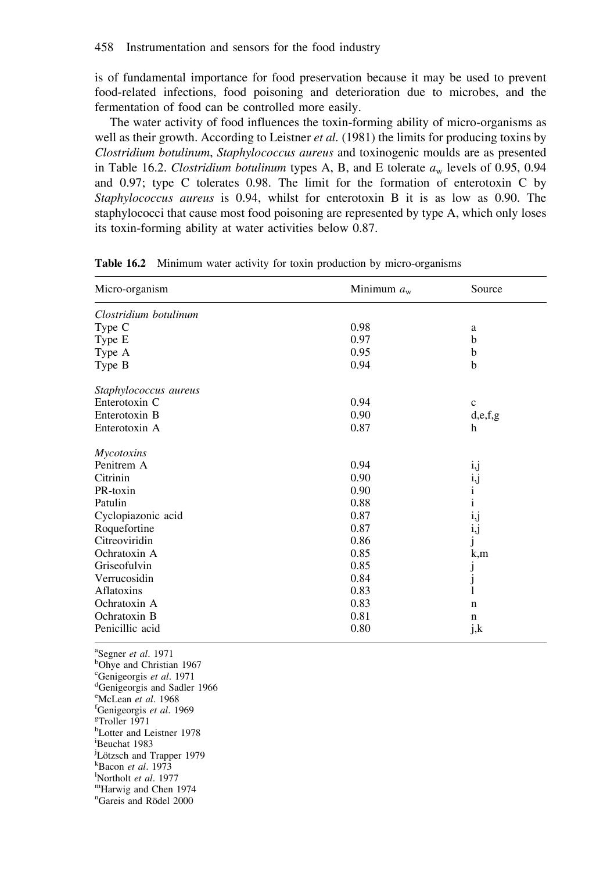458 Instrumentation and sensors for the food industry

is of fundamental importance for food preservation because it may be used to prevent food-related infections, food poisoning and deterioration due to microbes, and the fermentation of food can be controlled more easily.

The water activity of food influences the toxin-forming ability of micro-organisms as well as their growth. According to Leistner *et al.* (1981) the limits for producing toxins by *Clostridium botulinum*, *Staphylococcus aureus* and toxinogenic moulds are as presented in Table 16.2. *Clostridium botulinum* types A, B, and E tolerate  $a_w$  levels of 0.95, 0.94 and 0.97; type C tolerates 0.98. The limit for the formation of enterotoxin C by *Staphylococcus aureus* is 0.94, whilst for enterotoxin B it is as low as 0.90. The staphylococci that cause most food poisoning are represented by type A, which only loses its toxin-forming ability at water activities below 0.87.

| Micro-organism        | Minimum $a_w$ | Source                |
|-----------------------|---------------|-----------------------|
| Clostridium botulinum |               |                       |
| Type C                | 0.98          | a                     |
| Type E                | 0.97          | b                     |
| Type A                | 0.95          | b                     |
| Type B                | 0.94          | b                     |
| Staphylococcus aureus |               |                       |
| Enterotoxin C         | 0.94          | $\mathbf c$           |
| Enterotoxin B         | 0.90          | d,e,f,g               |
| Enterotoxin A         | 0.87          | h                     |
| <b>Mycotoxins</b>     |               |                       |
| Penitrem A            | 0.94          |                       |
| Citrinin              | 0.90          | $i,j$<br>$i,j$<br>$i$ |
| PR-toxin              | 0.90          |                       |
| Patulin               | 0.88          | $\mathbf{i}$          |
| Cyclopiazonic acid    | 0.87          | i,j                   |
| Roquefortine          | 0.87          | i, j                  |
| Citreoviridin         | 0.86          | j                     |
| Ochratoxin A          | 0.85          | k,m                   |
| Griseofulvin          | 0.85          |                       |
| Verrucosidin          | 0.84          | J<br>j                |
| Aflatoxins            | 0.83          | 1                     |
| Ochratoxin A          | 0.83          | $\mathbf n$           |
| Ochratoxin B          | 0.81          | $\mathbf n$           |
| Penicillic acid       | 0.80          | j,k                   |

**Table 16.2** Minimum water activity for toxin production by micro-organisms

<sup>a</sup>Segner *et al.* 1971 <sup>b</sup>Ohye and Christian 1967 <sup>c</sup>Genigeorgis *et al.* 1971 <sup>d</sup>Genigeorgis and Sadler 1966 <sup>e</sup>McLean *et al.* 1968 <sup>f</sup>Genigeorgis *et al.* 1969 Troller 1971 h<sub>Lotter</sub> and Leistner 1978 i Beuchat 1983 <sup>j</sup>Lötzsch and Trapper 1979 <sup>k</sup>Bacon *et al.* 1973<br><sup>1</sup>Northolt *et al.* 1977 <sup>m</sup>Harwig and Chen 1974 <sup>n</sup>Gareis and Rödel 2000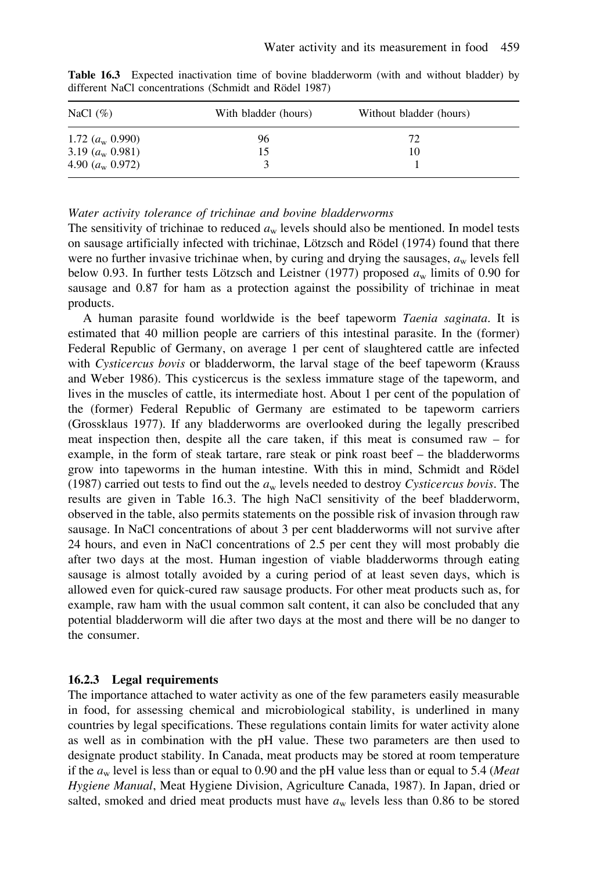| NaCl $(\%)$              | With bladder (hours) | Without bladder (hours) |
|--------------------------|----------------------|-------------------------|
| 1.72 $(a_{\rm w}$ 0.990) | 96                   | 72                      |
| 3.19 $(a_{\rm w}$ 0.981) | 15                   | 10                      |
| 4.90 $(a_{\rm w}$ 0.972) |                      |                         |

**Table 16.3** Expected inactivation time of bovine bladderworm (with and without bladder) by different NaCl concentrations (Schmidt and Rödel 1987)

#### *Water activity tolerance of trichinae and bovine bladderworms*

The sensitivity of trichinae to reduced  $a_w$  levels should also be mentioned. In model tests on sausage artificially infected with trichinae, Lötzsch and Rödel (1974) found that there were no further invasive trichinae when, by curing and drying the sausages, *a*<sup>w</sup> levels fell below 0.93. In further tests Lötzsch and Leistner (1977) proposed  $a_w$  limits of 0.90 for sausage and 0.87 for ham as a protection against the possibility of trichinae in meat products.

A human parasite found worldwide is the beef tapeworm *Taenia saginata*. It is estimated that 40 million people are carriers of this intestinal parasite. In the (former) Federal Republic of Germany, on average 1 per cent of slaughtered cattle are infected with *Cysticercus bovis* or bladderworm, the larval stage of the beef tapeworm (Krauss and Weber 1986). This cysticercus is the sexless immature stage of the tapeworm, and lives in the muscles of cattle, its intermediate host. About 1 per cent of the population of the (former) Federal Republic of Germany are estimated to be tapeworm carriers (Grossklaus 1977). If any bladderworms are overlooked during the legally prescribed meat inspection then, despite all the care taken, if this meat is consumed raw – for example, in the form of steak tartare, rare steak or pink roast beef – the bladderworms grow into tapeworms in the human intestine. With this in mind, Schmidt and Rödel (1987) carried out tests to find out the *a*<sup>w</sup> levels needed to destroy *Cysticercus bovis*. The results are given in Table 16.3. The high NaCl sensitivity of the beef bladderworm, observed in the table, also permits statements on the possible risk of invasion through raw sausage. In NaCl concentrations of about 3 per cent bladderworms will not survive after 24 hours, and even in NaCl concentrations of 2.5 per cent they will most probably die after two days at the most. Human ingestion of viable bladderworms through eating sausage is almost totally avoided by a curing period of at least seven days, which is allowed even for quick-cured raw sausage products. For other meat products such as, for example, raw ham with the usual common salt content, it can also be concluded that any potential bladderworm will die after two days at the most and there will be no danger to the consumer.

#### **16.2.3 Legal requirements**

The importance attached to water activity as one of the few parameters easily measurable in food, for assessing chemical and microbiological stability, is underlined in many countries by legal specifications. These regulations contain limits for water activity alone as well as in combination with the pH value. These two parameters are then used to designate product stability. In Canada, meat products may be stored at room temperature if the *a*<sup>w</sup> level is less than or equal to 0.90 and the pH value less than or equal to 5.4 (*Meat Hygiene Manual*, Meat Hygiene Division, Agriculture Canada, 1987). In Japan, dried or salted, smoked and dried meat products must have  $a_w$  levels less than 0.86 to be stored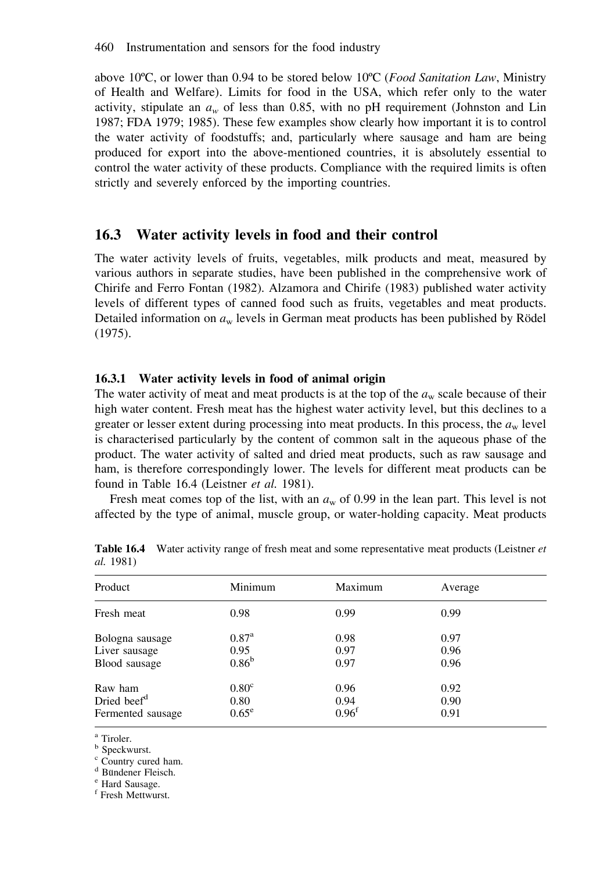above 10ºC, or lower than 0.94 to be stored below 10ºC (*Food Sanitation Law*, Ministry of Health and Welfare). Limits for food in the USA, which refer only to the water activity, stipulate an  $a_w$  of less than 0.85, with no pH requirement (Johnston and Lin 1987; FDA 1979; 1985). These few examples show clearly how important it is to control the water activity of foodstuffs; and, particularly where sausage and ham are being produced for export into the above-mentioned countries, it is absolutely essential to control the water activity of these products. Compliance with the required limits is often strictly and severely enforced by the importing countries.

# **16.3 Water activity levels in food and their control**

The water activity levels of fruits, vegetables, milk products and meat, measured by various authors in separate studies, have been published in the comprehensive work of Chirife and Ferro Fontan (1982). Alzamora and Chirife (1983) published water activity levels of different types of canned food such as fruits, vegetables and meat products. Detailed information on  $a_w$  levels in German meat products has been published by Rödel (1975).

## **16.3.1 Water activity levels in food of animal origin**

The water activity of meat and meat products is at the top of the  $a_w$  scale because of their high water content. Fresh meat has the highest water activity level, but this declines to a greater or lesser extent during processing into meat products. In this process, the *a*<sup>w</sup> level is characterised particularly by the content of common salt in the aqueous phase of the product. The water activity of salted and dried meat products, such as raw sausage and ham, is therefore correspondingly lower. The levels for different meat products can be found in Table 16.4 (Leistner *et al.* 1981).

Fresh meat comes top of the list, with an  $a_w$  of 0.99 in the lean part. This level is not affected by the type of animal, muscle group, or water-holding capacity. Meat products

| Product                 | Minimum             | Maximum           | Average |  |
|-------------------------|---------------------|-------------------|---------|--|
| Fresh meat              | 0.98                | 0.99              | 0.99    |  |
| Bologna sausage         | $0.87^{\rm a}$      | 0.98              | 0.97    |  |
| Liver sausage           | 0.95                | 0.97              | 0.96    |  |
| Blood sausage           | 0.86 <sup>b</sup>   | 0.97              | 0.96    |  |
| Raw ham                 | 0.80 <sup>c</sup>   | 0.96              | 0.92    |  |
| Dried beef <sup>d</sup> | 0.80                | 0.94              | 0.90    |  |
| Fermented sausage       | $0.65^{\mathrm{e}}$ | 0.96 <sup>f</sup> | 0.91    |  |

**Table 16.4** Water activity range of fresh meat and some representative meat products (Leistner *et al.* 1981)

 $\frac{a}{b}$  Tiroler.<br>b Speckwurst.

 $\overline{c}$  Country cured ham.

 $^{\text{d}}$  Bündener Fleisch.<br>  $^{\text{e}}$  Hard Sausage.

<sup>f</sup> Fresh Mettwurst.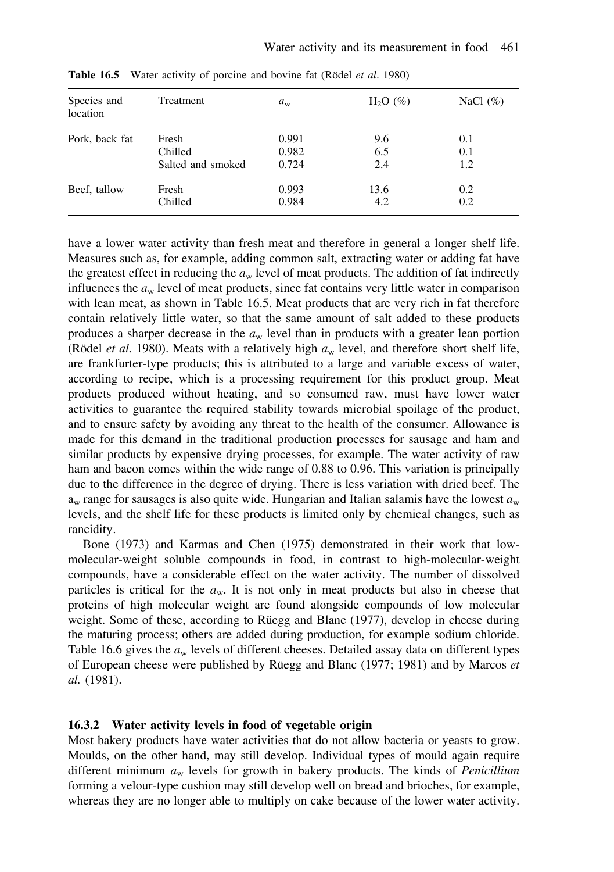| Species and<br>location | Treatment         | $a_{\rm w}$ | $H2O$ (%) | NaCl $(\%)$ |
|-------------------------|-------------------|-------------|-----------|-------------|
| Pork, back fat          | Fresh             | 0.991       | 9.6       | 0.1         |
|                         | Chilled           | 0.982       | 6.5       | 0.1         |
|                         | Salted and smoked | 0.724       | 2.4       | 1.2         |
| Beef, tallow            | Fresh             | 0.993       | 13.6      | 0.2         |
|                         | Chilled           | 0.984       | 4.2       | 0.2         |

**Table 16.5** Water activity of porcine and bovine fat (Rödel *et al.* 1980)

have a lower water activity than fresh meat and therefore in general a longer shelf life. Measures such as, for example, adding common salt, extracting water or adding fat have the greatest effect in reducing the  $a_w$  level of meat products. The addition of fat indirectly influences the  $a_w$  level of meat products, since fat contains very little water in comparison with lean meat, as shown in Table 16.5. Meat products that are very rich in fat therefore contain relatively little water, so that the same amount of salt added to these products produces a sharper decrease in the *a*<sup>w</sup> level than in products with a greater lean portion (Rödel *et al.* 1980). Meats with a relatively high  $a_w$  level, and therefore short shelf life, are frankfurter-type products; this is attributed to a large and variable excess of water, according to recipe, which is a processing requirement for this product group. Meat products produced without heating, and so consumed raw, must have lower water activities to guarantee the required stability towards microbial spoilage of the product, and to ensure safety by avoiding any threat to the health of the consumer. Allowance is made for this demand in the traditional production processes for sausage and ham and similar products by expensive drying processes, for example. The water activity of raw ham and bacon comes within the wide range of 0.88 to 0.96. This variation is principally due to the difference in the degree of drying. There is less variation with dried beef. The  $a_w$  range for sausages is also quite wide. Hungarian and Italian salamis have the lowest  $a_w$ levels, and the shelf life for these products is limited only by chemical changes, such as rancidity.

Bone (1973) and Karmas and Chen (1975) demonstrated in their work that lowmolecular-weight soluble compounds in food, in contrast to high-molecular-weight compounds, have a considerable effect on the water activity. The number of dissolved particles is critical for the *a*w. It is not only in meat products but also in cheese that proteins of high molecular weight are found alongside compounds of low molecular weight. Some of these, according to Rüegg and Blanc (1977), develop in cheese during the maturing process; others are added during production, for example sodium chloride. Table 16.6 gives the  $a_w$  levels of different cheeses. Detailed assay data on different types of European cheese were published by Ruegg and Blanc (1977; 1981) and by Marcos *et al.* (1981).

#### **16.3.2 Water activity levels in food of vegetable origin**

Most bakery products have water activities that do not allow bacteria or yeasts to grow. Moulds, on the other hand, may still develop. Individual types of mould again require different minimum *a*<sup>w</sup> levels for growth in bakery products. The kinds of *Penicillium* forming a velour-type cushion may still develop well on bread and brioches, for example, whereas they are no longer able to multiply on cake because of the lower water activity.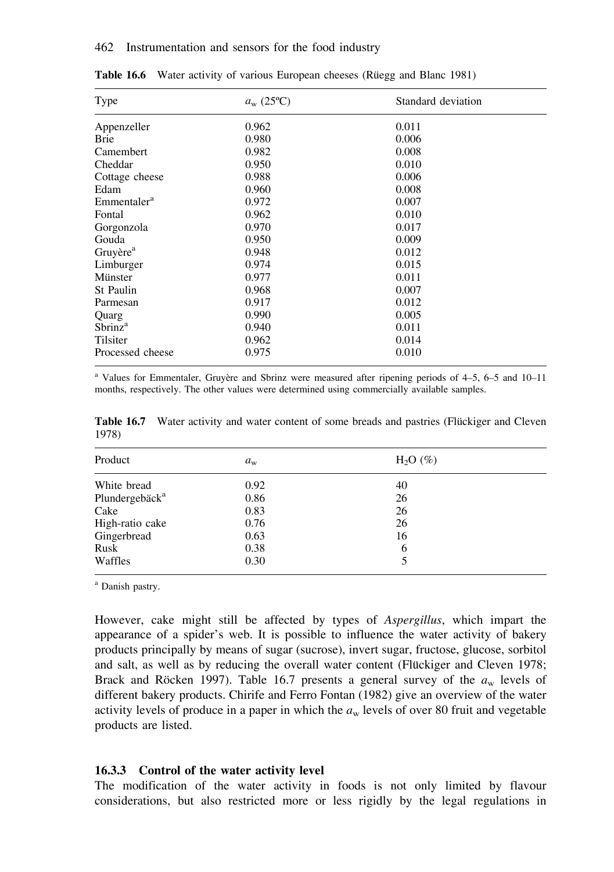#### 462 Instrumentation and sensors for the food industry

| Type                    | $a_{\rm w}$ (25 <sup>o</sup> C) | Standard deviation |
|-------------------------|---------------------------------|--------------------|
| Appenzeller             | 0.962                           | 0.011              |
| <b>Brie</b>             | 0.980                           | 0.006              |
| Camembert               | 0.982                           | 0.008              |
| Cheddar                 | 0.950                           | 0.010              |
| Cottage cheese          | 0.988                           | 0.006              |
| Edam                    | 0.960                           | 0.008              |
| Emmentaler <sup>a</sup> | 0.972                           | 0.007              |
| Fontal                  | 0.962                           | 0.010              |
| Gorgonzola              | 0.970                           | 0.017              |
| Gouda                   | 0.950                           | 0.009              |
| Gruyère <sup>a</sup>    | 0.948                           | 0.012              |
| Limburger               | 0.974                           | 0.015              |
| Münster                 | 0.977                           | 0.011              |
| St Paulin               | 0.968                           | 0.007              |
| Parmesan                | 0.917                           | 0.012              |
| Quarg                   | 0.990                           | 0.005              |
| Sbrinz <sup>a</sup>     | 0.940                           | 0.011              |
| Tilsiter                | 0.962                           | 0.014              |
| Processed cheese        | 0.975                           | 0.010              |

**Table 16.6** Water activity of various European cheeses (Ruegg and Blanc 1981)

<sup>a</sup> Values for Emmentaler, Gruyère and Sbrinz were measured after ripening periods of  $4-5$ ,  $6-5$  and  $10-11$ months, respectively. The other values were determined using commercially available samples.

| Product                    | $a_{\rm w}$ | $H2O$ (%) |  |
|----------------------------|-------------|-----------|--|
| White bread                | 0.92        | 40        |  |
| Plundergebäck <sup>a</sup> | 0.86        | 26        |  |
| Cake                       | 0.83        | 26        |  |
| High-ratio cake            | 0.76        | 26        |  |
| Gingerbread                | 0.63        | 16        |  |
| Rusk                       | 0.38        | 6         |  |
| Waffles                    | 0.30        |           |  |

**Table 16.7** Water activity and water content of some breads and pastries (Flückiger and Cleven 1978)

<sup>a</sup> Danish pastry.

However, cake might still be affected by types of *Aspergillus*, which impart the appearance of a spider's web. It is possible to influence the water activity of bakery products principally by means of sugar (sucrose), invert sugar, fructose, glucose, sorbitol and salt, as well as by reducing the overall water content (Fluckiger and Cleven 1978; Brack and Röcken 1997). Table 16.7 presents a general survey of the  $a_w$  levels of different bakery products. Chirife and Ferro Fontan (1982) give an overview of the water activity levels of produce in a paper in which the *a*<sup>w</sup> levels of over 80 fruit and vegetable products are listed.

#### **16.3.3 Control of the water activity level**

The modification of the water activity in foods is not only limited by flavour considerations, but also restricted more or less rigidly by the legal regulations in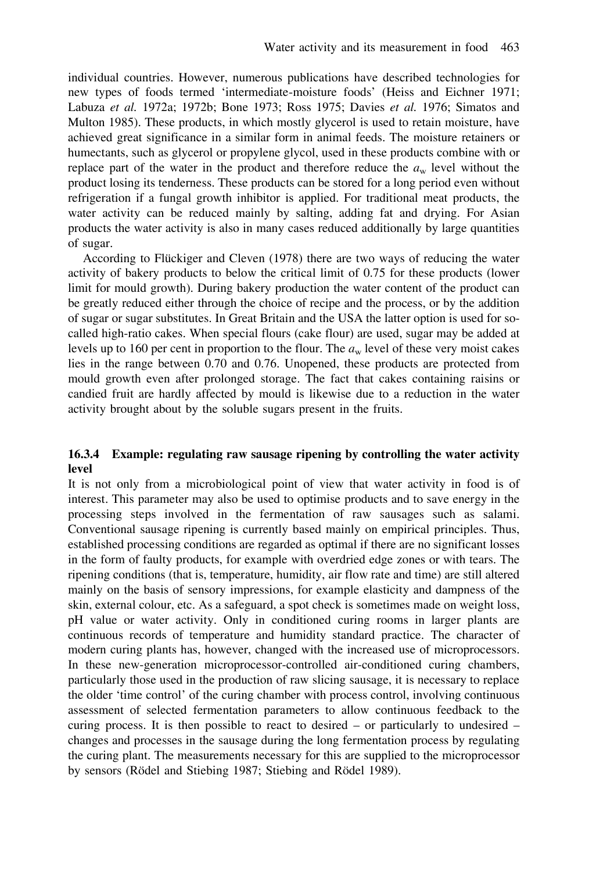individual countries. However, numerous publications have described technologies for new types of foods termed 'intermediate-moisture foods' (Heiss and Eichner 1971; Labuza *et al.* 1972a; 1972b; Bone 1973; Ross 1975; Davies *et al.* 1976; Simatos and Multon 1985). These products, in which mostly glycerol is used to retain moisture, have achieved great significance in a similar form in animal feeds. The moisture retainers or humectants, such as glycerol or propylene glycol, used in these products combine with or replace part of the water in the product and therefore reduce the  $a_w$  level without the product losing its tenderness. These products can be stored for a long period even without refrigeration if a fungal growth inhibitor is applied. For traditional meat products, the water activity can be reduced mainly by salting, adding fat and drying. For Asian products the water activity is also in many cases reduced additionally by large quantities of sugar.

According to Flückiger and Cleven (1978) there are two ways of reducing the water activity of bakery products to below the critical limit of 0.75 for these products (lower limit for mould growth). During bakery production the water content of the product can be greatly reduced either through the choice of recipe and the process, or by the addition of sugar or sugar substitutes. In Great Britain and the USA the latter option is used for socalled high-ratio cakes. When special flours (cake flour) are used, sugar may be added at levels up to 160 per cent in proportion to the flour. The *a*<sup>w</sup> level of these very moist cakes lies in the range between 0.70 and 0.76. Unopened, these products are protected from mould growth even after prolonged storage. The fact that cakes containing raisins or candied fruit are hardly affected by mould is likewise due to a reduction in the water activity brought about by the soluble sugars present in the fruits.

## **16.3.4 Example: regulating raw sausage ripening by controlling the water activity level**

It is not only from a microbiological point of view that water activity in food is of interest. This parameter may also be used to optimise products and to save energy in the processing steps involved in the fermentation of raw sausages such as salami. Conventional sausage ripening is currently based mainly on empirical principles. Thus, established processing conditions are regarded as optimal if there are no significant losses in the form of faulty products, for example with overdried edge zones or with tears. The ripening conditions (that is, temperature, humidity, air flow rate and time) are still altered mainly on the basis of sensory impressions, for example elasticity and dampness of the skin, external colour, etc. As a safeguard, a spot check is sometimes made on weight loss, pH value or water activity. Only in conditioned curing rooms in larger plants are continuous records of temperature and humidity standard practice. The character of modern curing plants has, however, changed with the increased use of microprocessors. In these new-generation microprocessor-controlled air-conditioned curing chambers, particularly those used in the production of raw slicing sausage, it is necessary to replace the older 'time control' of the curing chamber with process control, involving continuous assessment of selected fermentation parameters to allow continuous feedback to the curing process. It is then possible to react to desired – or particularly to undesired – changes and processes in the sausage during the long fermentation process by regulating the curing plant. The measurements necessary for this are supplied to the microprocessor by sensors (Rödel and Stiebing 1987; Stiebing and Rödel 1989).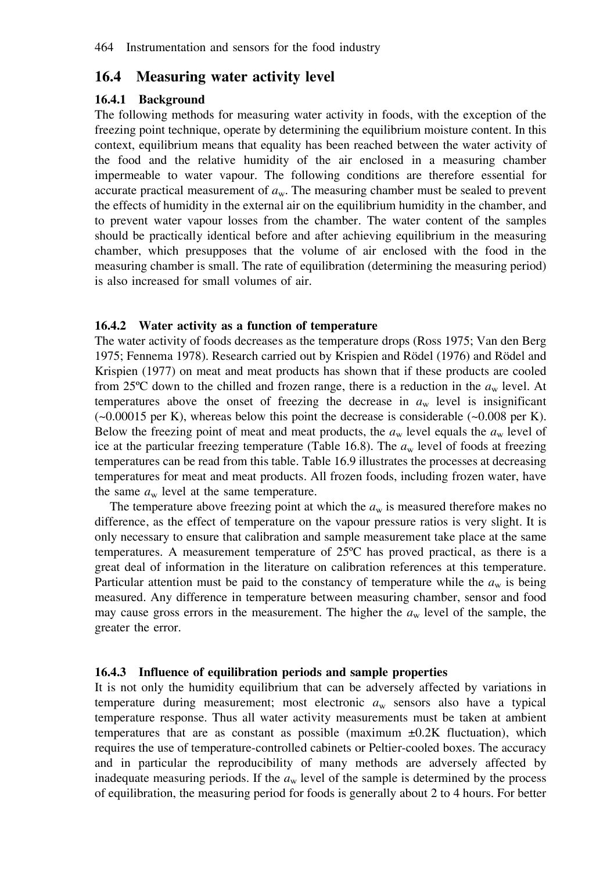## **16.4 Measuring water activity level**

#### **16.4.1 Background**

The following methods for measuring water activity in foods, with the exception of the freezing point technique, operate by determining the equilibrium moisture content. In this context, equilibrium means that equality has been reached between the water activity of the food and the relative humidity of the air enclosed in a measuring chamber impermeable to water vapour. The following conditions are therefore essential for accurate practical measurement of  $a_w$ . The measuring chamber must be sealed to prevent the effects of humidity in the external air on the equilibrium humidity in the chamber, and to prevent water vapour losses from the chamber. The water content of the samples should be practically identical before and after achieving equilibrium in the measuring chamber, which presupposes that the volume of air enclosed with the food in the measuring chamber is small. The rate of equilibration (determining the measuring period) is also increased for small volumes of air.

#### **16.4.2 Water activity as a function of temperature**

The water activity of foods decreases as the temperature drops (Ross 1975; Van den Berg 1975; Fennema 1978). Research carried out by Krispien and Rödel (1976) and Rödel and Krispien (1977) on meat and meat products has shown that if these products are cooled from 25 $\degree$ C down to the chilled and frozen range, there is a reduction in the  $a_w$  level. At temperatures above the onset of freezing the decrease in  $a_w$  level is insignificant  $(-0.00015$  per K), whereas below this point the decrease is considerable  $(-0.008$  per K). Below the freezing point of meat and meat products, the  $a_w$  level equals the  $a_w$  level of ice at the particular freezing temperature (Table 16.8). The  $a_w$  level of foods at freezing temperatures can be read from this table. Table 16.9 illustrates the processes at decreasing temperatures for meat and meat products. All frozen foods, including frozen water, have the same  $a_w$  level at the same temperature.

The temperature above freezing point at which the  $a_w$  is measured therefore makes no difference, as the effect of temperature on the vapour pressure ratios is very slight. It is only necessary to ensure that calibration and sample measurement take place at the same temperatures. A measurement temperature of 25ºC has proved practical, as there is a great deal of information in the literature on calibration references at this temperature. Particular attention must be paid to the constancy of temperature while the  $a_w$  is being measured. Any difference in temperature between measuring chamber, sensor and food may cause gross errors in the measurement. The higher the *a*<sup>w</sup> level of the sample, the greater the error.

#### **16.4.3 Influence of equilibration periods and sample properties**

It is not only the humidity equilibrium that can be adversely affected by variations in temperature during measurement; most electronic *a*<sup>w</sup> sensors also have a typical temperature response. Thus all water activity measurements must be taken at ambient temperatures that are as constant as possible (maximum  $\pm 0.2K$  fluctuation), which requires the use of temperature-controlled cabinets or Peltier-cooled boxes. The accuracy and in particular the reproducibility of many methods are adversely affected by inadequate measuring periods. If the *a*<sup>w</sup> level of the sample is determined by the process of equilibration, the measuring period for foods is generally about 2 to 4 hours. For better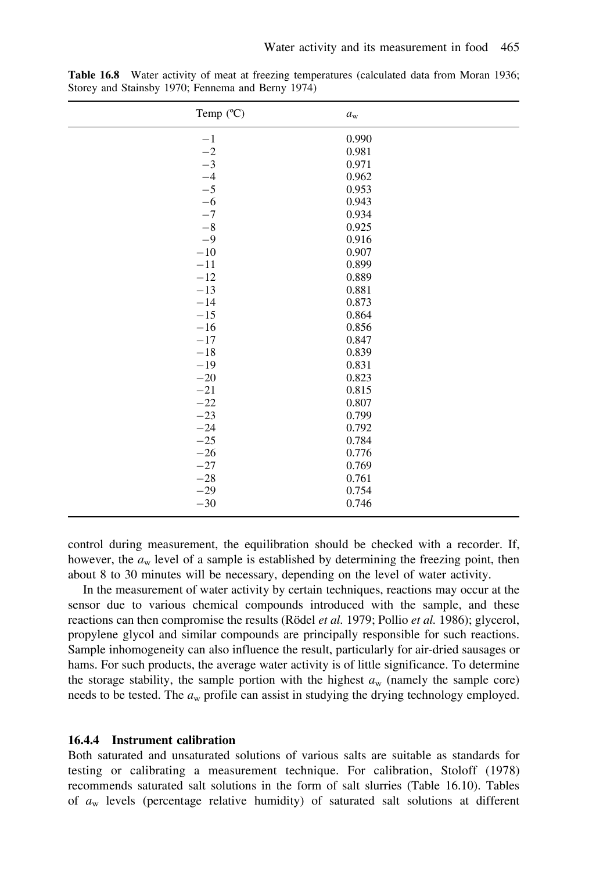| Temp (°C)    | $a_{\rm w}$ |
|--------------|-------------|
| $-1$         | 0.990       |
| $-{\bf 2}$   | 0.981       |
| $-3$         | 0.971       |
|              | 0.962       |
| $-4$<br>$-5$ | 0.953       |
| $-6$         | 0.943       |
| $-7$         | 0.934       |
| $-8\,$       | 0.925       |
| $-9$         | 0.916       |
| $-10$        | 0.907       |
| $-11$        | 0.899       |
| $-12$        | 0.889       |
| $-13$        | 0.881       |
| $-14$        | 0.873       |
| $-15$        | 0.864       |
| $-16$        | 0.856       |
| $-17$        | 0.847       |
| $-18$        | 0.839       |
| $-19$        | 0.831       |
| $-20$        | 0.823       |
| $-21$        | 0.815       |
| $-22$        | 0.807       |
| $-23$        | 0.799       |
| $-24$        | 0.792       |
| $-25$        | 0.784       |
| $-26$        | 0.776       |
| $-27$        | 0.769       |
| $-28$        | 0.761       |
| $-29$        | 0.754       |
| $-30$        | 0.746       |

**Table 16.8** Water activity of meat at freezing temperatures (calculated data from Moran 1936; Storey and Stainsby 1970; Fennema and Berny 1974)

control during measurement, the equilibration should be checked with a recorder. If, however, the  $a_w$  level of a sample is established by determining the freezing point, then about 8 to 30 minutes will be necessary, depending on the level of water activity.

In the measurement of water activity by certain techniques, reactions may occur at the sensor due to various chemical compounds introduced with the sample, and these reactions can then compromise the results (Rödel *et al.* 1979; Pollio *et al.* 1986); glycerol, propylene glycol and similar compounds are principally responsible for such reactions. Sample inhomogeneity can also influence the result, particularly for air-dried sausages or hams. For such products, the average water activity is of little significance. To determine the storage stability, the sample portion with the highest  $a_w$  (namely the sample core) needs to be tested. The *a*<sup>w</sup> profile can assist in studying the drying technology employed.

#### **16.4.4 Instrument calibration**

Both saturated and unsaturated solutions of various salts are suitable as standards for testing or calibrating a measurement technique. For calibration, Stoloff (1978) recommends saturated salt solutions in the form of salt slurries (Table 16.10). Tables of *a*<sup>w</sup> levels (percentage relative humidity) of saturated salt solutions at different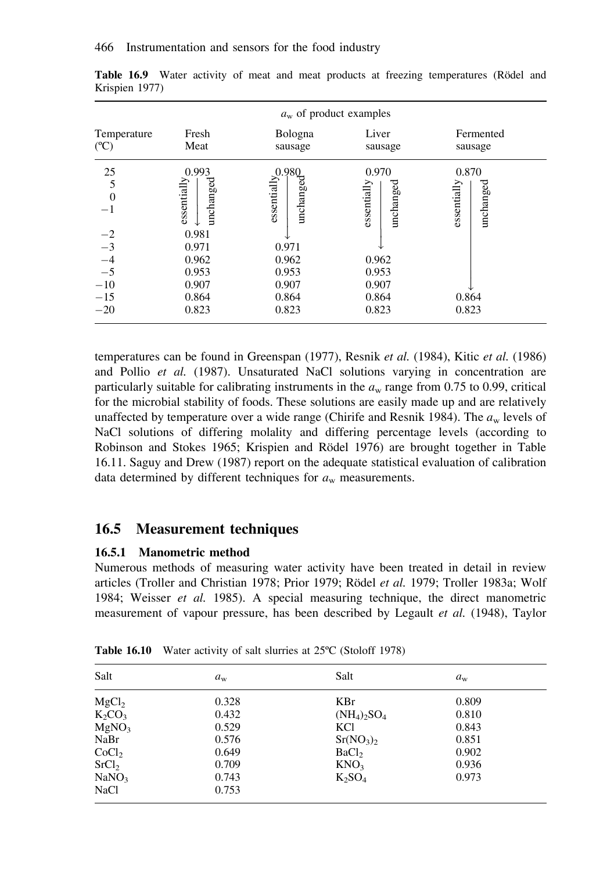|                                      |                                   | $a_w$ of product examples                              |                                   |                                   |  |
|--------------------------------------|-----------------------------------|--------------------------------------------------------|-----------------------------------|-----------------------------------|--|
| Temperature<br>$(^{\circ}C)$         | Fresh<br>Meat                     | Bologna<br>sausage                                     | Liver<br>sausage                  | Fermented<br>sausage              |  |
| 25<br>5<br>$\overline{0}$<br>$^{-1}$ | 0.993<br>unchanged<br>essentially | -98<br>unchanged <sup>0</sup><br>$essentially_{\odot}$ | 0.970<br>unchanged<br>essentially | 0.870<br>unchanged<br>essentially |  |
| $-2$<br>$-3$                         | 0.981<br>0.971                    | 0.971                                                  |                                   |                                   |  |
| $\frac{-4}{-5}$<br>$-10$             | 0.962<br>0.953<br>0.907           | 0.962<br>0.953<br>0.907                                | 0.962<br>0.953<br>0.907           |                                   |  |
| $-15$<br>$-20$                       | 0.864<br>0.823                    | 0.864<br>0.823                                         | 0.864<br>0.823                    | 0.864<br>0.823                    |  |

Table 16.9 Water activity of meat and meat products at freezing temperatures (Rödel and Krispien 1977)

temperatures can be found in Greenspan (1977), Resnik *et al.* (1984), Kitic *et al.* (1986) and Pollio *et al.* (1987). Unsaturated NaCl solutions varying in concentration are particularly suitable for calibrating instruments in the *a*<sup>w</sup> range from 0.75 to 0.99, critical for the microbial stability of foods. These solutions are easily made up and are relatively unaffected by temperature over a wide range (Chirife and Resnik 1984). The  $a_w$  levels of NaCl solutions of differing molality and differing percentage levels (according to Robinson and Stokes 1965; Krispien and Rödel 1976) are brought together in Table 16.11. Saguy and Drew (1987) report on the adequate statistical evaluation of calibration data determined by different techniques for  $a_w$  measurements.

# **16.5 Measurement techniques**

## **16.5.1 Manometric method**

Numerous methods of measuring water activity have been treated in detail in review articles (Troller and Christian 1978; Prior 1979; Rödel *et al.* 1979; Troller 1983a; Wolf 1984; Weisser *et al.* 1985). A special measuring technique, the direct manometric measurement of vapour pressure, has been described by Legault *et al.* (1948), Taylor

| Salt              | $a_{\rm w}$ | Salt                                  | $a_{\rm w}$ |
|-------------------|-------------|---------------------------------------|-------------|
| MgCl <sub>2</sub> | 0.328       | KBr                                   | 0.809       |
| $K_2CO_3$         | 0.432       | $(NH_4)$ <sub>2</sub> SO <sub>4</sub> | 0.810       |
| MgNO <sub>3</sub> | 0.529       | KCl                                   | 0.843       |
| NaBr              | 0.576       | Sr(NO <sub>3</sub> ) <sub>2</sub>     | 0.851       |
| CoCl <sub>2</sub> | 0.649       | BaCl <sub>2</sub>                     | 0.902       |
| SrCl <sub>2</sub> | 0.709       | KNO <sub>3</sub>                      | 0.936       |
| NaNO <sub>3</sub> | 0.743       | $K_2SO_4$                             | 0.973       |
| NaC <sub>1</sub>  | 0.753       |                                       |             |

**Table 16.10** Water activity of salt slurries at 25ºC (Stoloff 1978)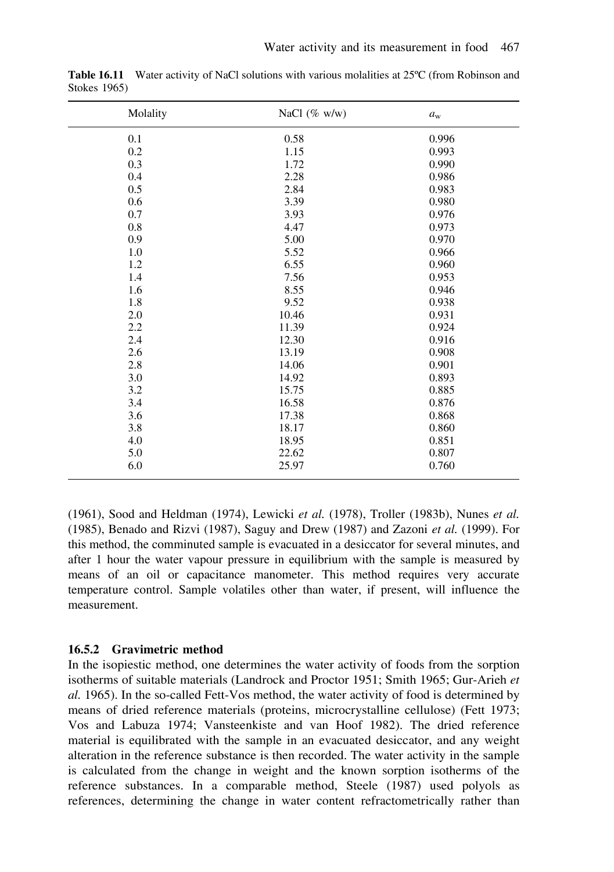| Molality | NaCl $(\%$ w/w) | $a_{\rm w}$ |
|----------|-----------------|-------------|
| 0.1      | 0.58            | 0.996       |
| 0.2      | 1.15            | 0.993       |
| $0.3\,$  | 1.72            | 0.990       |
| 0.4      | 2.28            | 0.986       |
| 0.5      | 2.84            | 0.983       |
| 0.6      | 3.39            | 0.980       |
| 0.7      | 3.93            | 0.976       |
| $0.8\,$  | 4.47            | 0.973       |
| 0.9      | 5.00            | 0.970       |
| 1.0      | 5.52            | 0.966       |
| 1.2      | 6.55            | 0.960       |
| 1.4      | 7.56            | 0.953       |
| 1.6      | 8.55            | 0.946       |
| 1.8      | 9.52            | 0.938       |
| $2.0\,$  | 10.46           | 0.931       |
| 2.2      | 11.39           | 0.924       |
| 2.4      | 12.30           | 0.916       |
| 2.6      | 13.19           | 0.908       |
| 2.8      | 14.06           | 0.901       |
| 3.0      | 14.92           | 0.893       |
| 3.2      | 15.75           | 0.885       |
| 3.4      | 16.58           | 0.876       |
| 3.6      | 17.38           | 0.868       |
| $3.8\,$  | 18.17           | 0.860       |
| 4.0      | 18.95           | 0.851       |
| 5.0      | 22.62           | 0.807       |
| 6.0      | 25.97           | 0.760       |

**Table 16.11** Water activity of NaCl solutions with various molalities at 25<sup>o</sup>C (from Robinson and Stokes 1965)

(1961), Sood and Heldman (1974), Lewicki *et al.* (1978), Troller (1983b), Nunes *et al.* (1985), Benado and Rizvi (1987), Saguy and Drew (1987) and Zazoni *et al.* (1999). For this method, the comminuted sample is evacuated in a desiccator for several minutes, and after 1 hour the water vapour pressure in equilibrium with the sample is measured by means of an oil or capacitance manometer. This method requires very accurate temperature control. Sample volatiles other than water, if present, will influence the measurement.

#### **16.5.2 Gravimetric method**

In the isopiestic method, one determines the water activity of foods from the sorption isotherms of suitable materials (Landrock and Proctor 1951; Smith 1965; Gur-Arieh *et al.* 1965). In the so-called Fett-Vos method, the water activity of food is determined by means of dried reference materials (proteins, microcrystalline cellulose) (Fett 1973; Vos and Labuza 1974; Vansteenkiste and van Hoof 1982). The dried reference material is equilibrated with the sample in an evacuated desiccator, and any weight alteration in the reference substance is then recorded. The water activity in the sample is calculated from the change in weight and the known sorption isotherms of the reference substances. In a comparable method, Steele (1987) used polyols as references, determining the change in water content refractometrically rather than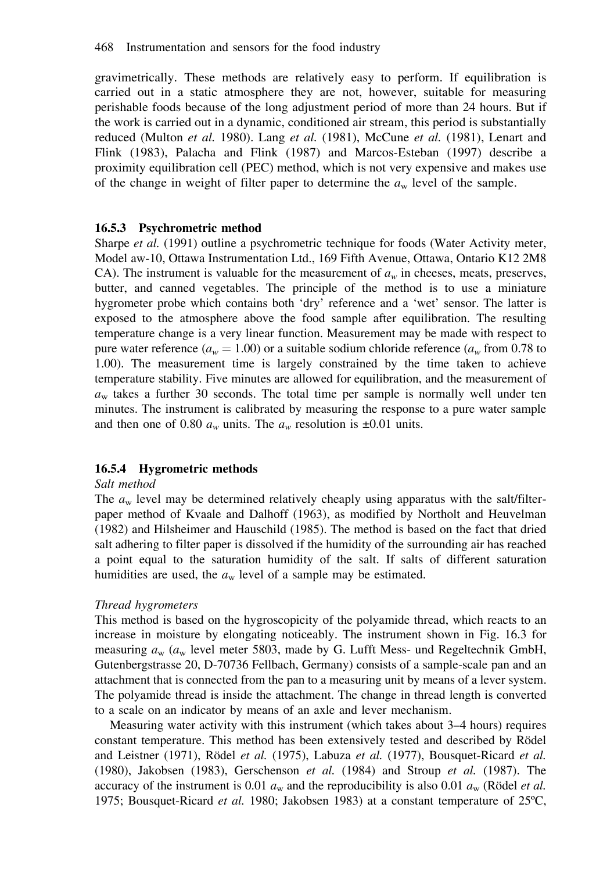gravimetrically. These methods are relatively easy to perform. If equilibration is carried out in a static atmosphere they are not, however, suitable for measuring perishable foods because of the long adjustment period of more than 24 hours. But if the work is carried out in a dynamic, conditioned air stream, this period is substantially reduced (Multon *et al.* 1980). Lang *et al.* (1981), McCune *et al.* (1981), Lenart and Flink (1983), Palacha and Flink (1987) and Marcos-Esteban (1997) describe a proximity equilibration cell (PEC) method, which is not very expensive and makes use of the change in weight of filter paper to determine the  $a_w$  level of the sample.

## **16.5.3 Psychrometric method**

Sharpe *et al.* (1991) outline a psychrometric technique for foods (Water Activity meter, Model aw-10, Ottawa Instrumentation Ltd., 169 Fifth Avenue, Ottawa, Ontario K12 2M8 CA). The instrument is valuable for the measurement of  $a_w$  in cheeses, meats, preserves, butter, and canned vegetables. The principle of the method is to use a miniature hygrometer probe which contains both 'dry' reference and a 'wet' sensor. The latter is exposed to the atmosphere above the food sample after equilibration. The resulting temperature change is a very linear function. Measurement may be made with respect to pure water reference ( $a_w = 1.00$ ) or a suitable sodium chloride reference ( $a_w$  from 0.78 to 1.00). The measurement time is largely constrained by the time taken to achieve temperature stability. Five minutes are allowed for equilibration, and the measurement of *a*<sup>w</sup> takes a further 30 seconds. The total time per sample is normally well under ten minutes. The instrument is calibrated by measuring the response to a pure water sample and then one of 0.80  $a_w$  units. The  $a_w$  resolution is  $\pm 0.01$  units.

## **16.5.4 Hygrometric methods**

#### *Salt method*

The  $a_w$  level may be determined relatively cheaply using apparatus with the salt/filterpaper method of Kvaale and Dalhoff (1963), as modified by Northolt and Heuvelman (1982) and Hilsheimer and Hauschild (1985). The method is based on the fact that dried salt adhering to filter paper is dissolved if the humidity of the surrounding air has reached a point equal to the saturation humidity of the salt. If salts of different saturation humidities are used, the *a*<sup>w</sup> level of a sample may be estimated.

## *Thread hygrometers*

This method is based on the hygroscopicity of the polyamide thread, which reacts to an increase in moisture by elongating noticeably. The instrument shown in Fig. 16.3 for measuring  $a_w$  ( $a_w$  level meter 5803, made by G. Lufft Mess- und Regeltechnik GmbH, Gutenbergstrasse 20, D-70736 Fellbach, Germany) consists of a sample-scale pan and an attachment that is connected from the pan to a measuring unit by means of a lever system. The polyamide thread is inside the attachment. The change in thread length is converted to a scale on an indicator by means of an axle and lever mechanism.

Measuring water activity with this instrument (which takes about 3–4 hours) requires constant temperature. This method has been extensively tested and described by Rödel and Leistner (1971), Rödel *et al.* (1975), Labuza *et al.* (1977), Bousquet-Ricard *et al.* (1980), Jakobsen (1983), Gerschenson *et al.* (1984) and Stroup *et al.* (1987). The accuracy of the instrument is 0.01  $a_w$  and the reproducibility is also 0.01  $a_w$  (Rödel *et al.*) 1975; Bousquet-Ricard *et al.* 1980; Jakobsen 1983) at a constant temperature of 25ºC,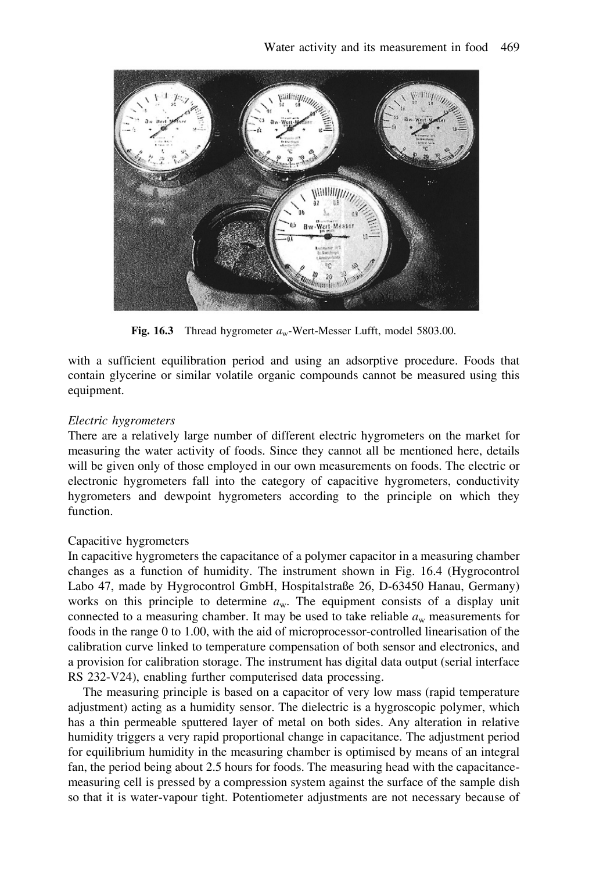

Fig. 16.3 Thread hygrometer  $a_w$ -Wert-Messer Lufft, model 5803.00.

with a sufficient equilibration period and using an adsorptive procedure. Foods that contain glycerine or similar volatile organic compounds cannot be measured using this equipment.

### *Electric hygrometers*

There are a relatively large number of different electric hygrometers on the market for measuring the water activity of foods. Since they cannot all be mentioned here, details will be given only of those employed in our own measurements on foods. The electric or electronic hygrometers fall into the category of capacitive hygrometers, conductivity hygrometers and dewpoint hygrometers according to the principle on which they function.

## Capacitive hygrometers

In capacitive hygrometers the capacitance of a polymer capacitor in a measuring chamber changes as a function of humidity. The instrument shown in Fig. 16.4 (Hygrocontrol Labo 47, made by Hygrocontrol GmbH, Hospitalstraße 26, D-63450 Hanau, Germany) works on this principle to determine *a*w. The equipment consists of a display unit connected to a measuring chamber. It may be used to take reliable  $a_w$  measurements for foods in the range 0 to 1.00, with the aid of microprocessor-controlled linearisation of the calibration curve linked to temperature compensation of both sensor and electronics, and a provision for calibration storage. The instrument has digital data output (serial interface RS 232-V24), enabling further computerised data processing.

The measuring principle is based on a capacitor of very low mass (rapid temperature adjustment) acting as a humidity sensor. The dielectric is a hygroscopic polymer, which has a thin permeable sputtered layer of metal on both sides. Any alteration in relative humidity triggers a very rapid proportional change in capacitance. The adjustment period for equilibrium humidity in the measuring chamber is optimised by means of an integral fan, the period being about 2.5 hours for foods. The measuring head with the capacitancemeasuring cell is pressed by a compression system against the surface of the sample dish so that it is water-vapour tight. Potentiometer adjustments are not necessary because of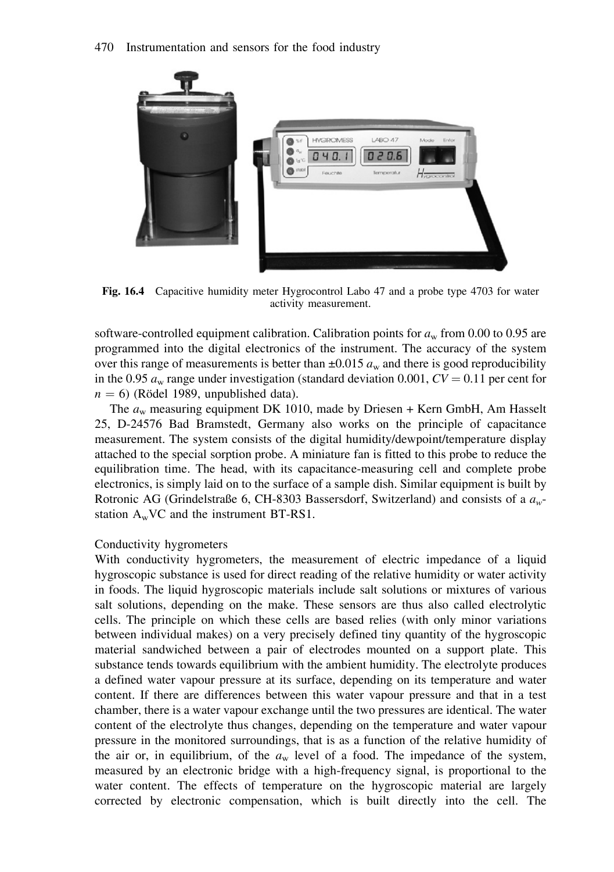

**Fig. 16.4** Capacitive humidity meter Hygrocontrol Labo 47 and a probe type 4703 for water activity measurement.

software-controlled equipment calibration. Calibration points for  $a<sub>w</sub>$  from 0.00 to 0.95 are programmed into the digital electronics of the instrument. The accuracy of the system over this range of measurements is better than  $\pm 0.015 a_w$  and there is good reproducibility in the 0.95  $a_w$  range under investigation (standard deviation 0.001,  $CV = 0.11$  per cent for  $n = 6$ ) (Rödel 1989, unpublished data).

The *a*<sup>w</sup> measuring equipment DK 1010, made by Driesen + Kern GmbH, Am Hasselt 25, D-24576 Bad Bramstedt, Germany also works on the principle of capacitance measurement. The system consists of the digital humidity/dewpoint/temperature display attached to the special sorption probe. A miniature fan is fitted to this probe to reduce the equilibration time. The head, with its capacitance-measuring cell and complete probe electronics, is simply laid on to the surface of a sample dish. Similar equipment is built by Rotronic AG (Grindelstraße 6, CH-8303 Bassersdorf, Switzerland) and consists of a *aw*station  $A_w$ VC and the instrument BT-RS1.

#### Conductivity hygrometers

With conductivity hygrometers, the measurement of electric impedance of a liquid hygroscopic substance is used for direct reading of the relative humidity or water activity in foods. The liquid hygroscopic materials include salt solutions or mixtures of various salt solutions, depending on the make. These sensors are thus also called electrolytic cells. The principle on which these cells are based relies (with only minor variations between individual makes) on a very precisely defined tiny quantity of the hygroscopic material sandwiched between a pair of electrodes mounted on a support plate. This substance tends towards equilibrium with the ambient humidity. The electrolyte produces a defined water vapour pressure at its surface, depending on its temperature and water content. If there are differences between this water vapour pressure and that in a test chamber, there is a water vapour exchange until the two pressures are identical. The water content of the electrolyte thus changes, depending on the temperature and water vapour pressure in the monitored surroundings, that is as a function of the relative humidity of the air or, in equilibrium, of the  $a_w$  level of a food. The impedance of the system, measured by an electronic bridge with a high-frequency signal, is proportional to the water content. The effects of temperature on the hygroscopic material are largely corrected by electronic compensation, which is built directly into the cell. The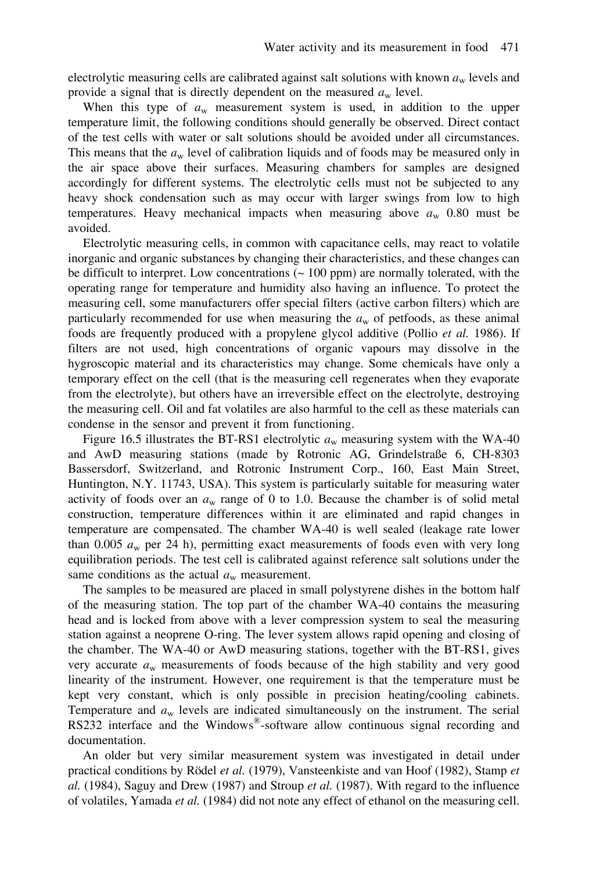electrolytic measuring cells are calibrated against salt solutions with known  $a_w$  levels and provide a signal that is directly dependent on the measured  $a_w$  level.

When this type of  $a_w$  measurement system is used, in addition to the upper temperature limit, the following conditions should generally be observed. Direct contact of the test cells with water or salt solutions should be avoided under all circumstances. This means that the *a*<sup>w</sup> level of calibration liquids and of foods may be measured only in the air space above their surfaces. Measuring chambers for samples are designed accordingly for different systems. The electrolytic cells must not be subjected to any heavy shock condensation such as may occur with larger swings from low to high temperatures. Heavy mechanical impacts when measuring above  $a_w$  0.80 must be avoided.

Electrolytic measuring cells, in common with capacitance cells, may react to volatile inorganic and organic substances by changing their characteristics, and these changes can be difficult to interpret. Low concentrations  $($   $\sim$  100 ppm) are normally tolerated, with the operating range for temperature and humidity also having an influence. To protect the measuring cell, some manufacturers offer special filters (active carbon filters) which are particularly recommended for use when measuring the *a*<sup>w</sup> of petfoods, as these animal foods are frequently produced with a propylene glycol additive (Pollio *et al.* 1986). If filters are not used, high concentrations of organic vapours may dissolve in the hygroscopic material and its characteristics may change. Some chemicals have only a temporary effect on the cell (that is the measuring cell regenerates when they evaporate from the electrolyte), but others have an irreversible effect on the electrolyte, destroying the measuring cell. Oil and fat volatiles are also harmful to the cell as these materials can condense in the sensor and prevent it from functioning.

Figure 16.5 illustrates the BT-RS1 electrolytic  $a_w$  measuring system with the WA-40 and AwD measuring stations (made by Rotronic AG, Grindelstraße 6, CH-8303 Bassersdorf, Switzerland, and Rotronic Instrument Corp., 160, East Main Street, Huntington, N.Y. 11743, USA). This system is particularly suitable for measuring water activity of foods over an  $a_w$  range of 0 to 1.0. Because the chamber is of solid metal construction, temperature differences within it are eliminated and rapid changes in temperature are compensated. The chamber WA-40 is well sealed (leakage rate lower than 0.005 *a*<sup>w</sup> per 24 h), permitting exact measurements of foods even with very long equilibration periods. The test cell is calibrated against reference salt solutions under the same conditions as the actual  $a_w$  measurement.

The samples to be measured are placed in small polystyrene dishes in the bottom half of the measuring station. The top part of the chamber WA-40 contains the measuring head and is locked from above with a lever compression system to seal the measuring station against a neoprene O-ring. The lever system allows rapid opening and closing of the chamber. The WA-40 or AwD measuring stations, together with the BT-RS1, gives very accurate *a*<sup>w</sup> measurements of foods because of the high stability and very good linearity of the instrument. However, one requirement is that the temperature must be kept very constant, which is only possible in precision heating/cooling cabinets. Temperature and *a*<sup>w</sup> levels are indicated simultaneously on the instrument. The serial RS232 interface and the Windows®-software allow continuous signal recording and documentation.

An older but very similar measurement system was investigated in detail under practical conditions by Rödel *et al.* (1979), Vansteenkiste and van Hoof (1982), Stamp *et al.* (1984), Saguy and Drew (1987) and Stroup *et al.* (1987). With regard to the influence of volatiles, Yamada *et al.* (1984) did not note any effect of ethanol on the measuring cell.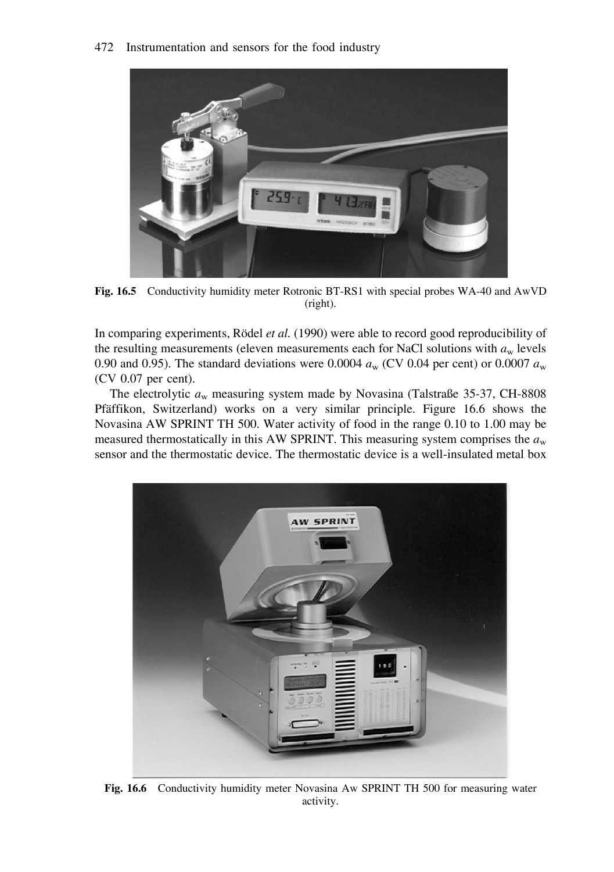

**Fig. 16.5** Conductivity humidity meter Rotronic BT-RS1 with special probes WA-40 and AwVD (right).

In comparing experiments, Rödel *et al.* (1990) were able to record good reproducibility of the resulting measurements (eleven measurements each for NaCl solutions with  $a_w$  levels 0.90 and 0.95). The standard deviations were 0.0004  $a_w$  (CV 0.04 per cent) or 0.0007  $a_w$ (CV 0.07 per cent).

The electrolytic *a*<sup>w</sup> measuring system made by Novasina (Talstraße 35-37, CH-8808 Pfäffikon, Switzerland) works on a very similar principle. Figure 16.6 shows the Novasina AW SPRINT TH 500. Water activity of food in the range 0.10 to 1.00 may be measured thermostatically in this AW SPRINT. This measuring system comprises the *a*<sup>w</sup> sensor and the thermostatic device. The thermostatic device is a well-insulated metal box



**Fig. 16.6** Conductivity humidity meter Novasina Aw SPRINT TH 500 for measuring water activity.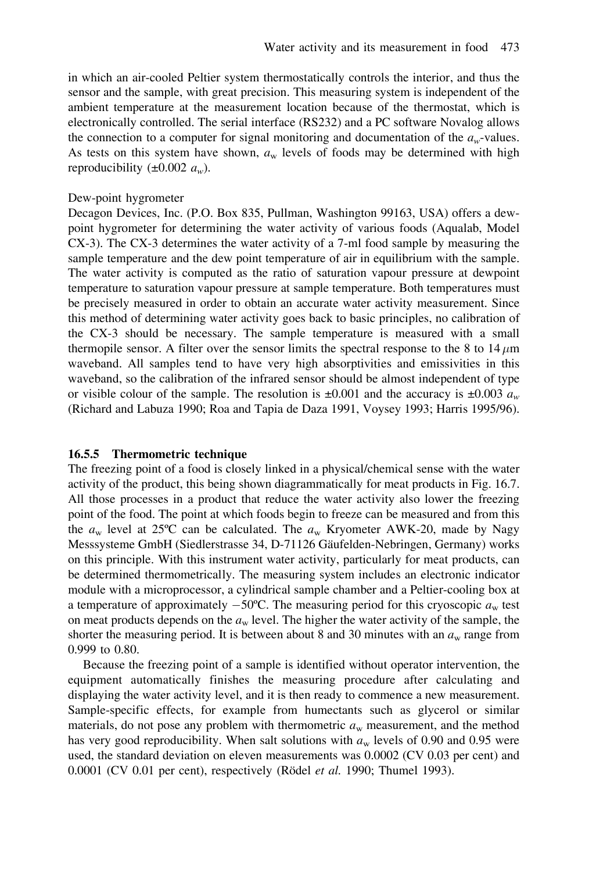in which an air-cooled Peltier system thermostatically controls the interior, and thus the sensor and the sample, with great precision. This measuring system is independent of the ambient temperature at the measurement location because of the thermostat, which is electronically controlled. The serial interface (RS232) and a PC software Novalog allows the connection to a computer for signal monitoring and documentation of the  $a_w$ -values. As tests on this system have shown,  $a_w$  levels of foods may be determined with high reproducibility  $(\pm 0.002 a_w)$ .

#### Dew-point hygrometer

Decagon Devices, Inc. (P.O. Box 835, Pullman, Washington 99163, USA) offers a dewpoint hygrometer for determining the water activity of various foods (Aqualab, Model CX-3). The CX-3 determines the water activity of a 7-ml food sample by measuring the sample temperature and the dew point temperature of air in equilibrium with the sample. The water activity is computed as the ratio of saturation vapour pressure at dewpoint temperature to saturation vapour pressure at sample temperature. Both temperatures must be precisely measured in order to obtain an accurate water activity measurement. Since this method of determining water activity goes back to basic principles, no calibration of the CX-3 should be necessary. The sample temperature is measured with a small thermopile sensor. A filter over the sensor limits the spectral response to the 8 to  $14 \mu m$ waveband. All samples tend to have very high absorptivities and emissivities in this waveband, so the calibration of the infrared sensor should be almost independent of type or visible colour of the sample. The resolution is  $\pm 0.001$  and the accuracy is  $\pm 0.003$   $a_w$ (Richard and Labuza 1990; Roa and Tapia de Daza 1991, Voysey 1993; Harris 1995/96).

#### **16.5.5 Thermometric technique**

The freezing point of a food is closely linked in a physical/chemical sense with the water activity of the product, this being shown diagrammatically for meat products in Fig. 16.7. All those processes in a product that reduce the water activity also lower the freezing point of the food. The point at which foods begin to freeze can be measured and from this the  $a_w$  level at 25°C can be calculated. The  $a_w$  Kryometer AWK-20, made by Nagy Messsysteme GmbH (Siedlerstrasse 34, D-71126 Gäufelden-Nebringen, Germany) works on this principle. With this instrument water activity, particularly for meat products, can be determined thermometrically. The measuring system includes an electronic indicator module with a microprocessor, a cylindrical sample chamber and a Peltier-cooling box at a temperature of approximately  $-50^{\circ}$ C. The measuring period for this cryoscopic  $a_w$  test on meat products depends on the *a*<sup>w</sup> level. The higher the water activity of the sample, the shorter the measuring period. It is between about 8 and 30 minutes with an  $a_w$  range from 0.999 to 0.80.

Because the freezing point of a sample is identified without operator intervention, the equipment automatically finishes the measuring procedure after calculating and displaying the water activity level, and it is then ready to commence a new measurement. Sample-specific effects, for example from humectants such as glycerol or similar materials, do not pose any problem with thermometric  $a_w$  measurement, and the method has very good reproducibility. When salt solutions with  $a_w$  levels of 0.90 and 0.95 were used, the standard deviation on eleven measurements was 0.0002 (CV 0.03 per cent) and 0.0001 (CV 0.01 per cent), respectively (Rödel *et al.* 1990; Thumel 1993).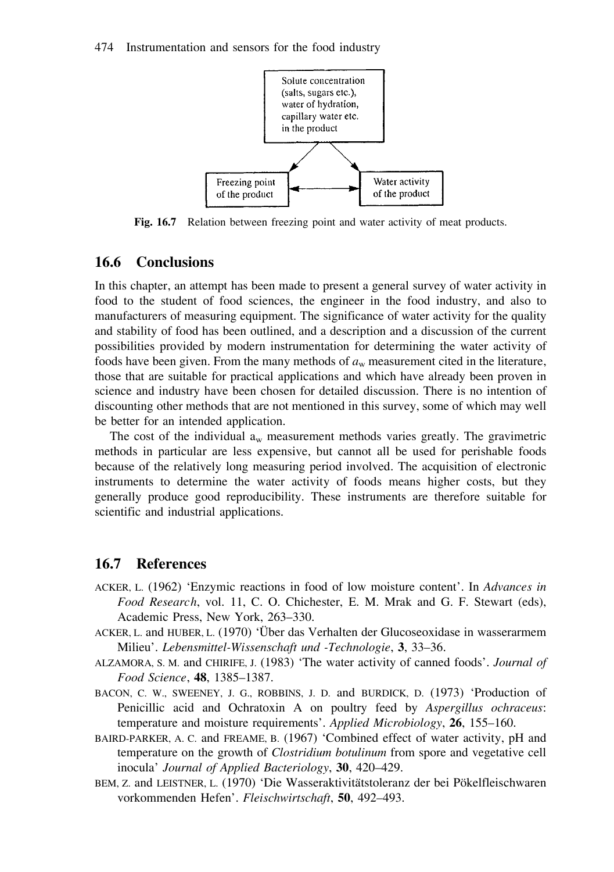

Fig. 16.7 Relation between freezing point and water activity of meat products.

## **16.6 Conclusions**

In this chapter, an attempt has been made to present a general survey of water activity in food to the student of food sciences, the engineer in the food industry, and also to manufacturers of measuring equipment. The significance of water activity for the quality and stability of food has been outlined, and a description and a discussion of the current possibilities provided by modern instrumentation for determining the water activity of foods have been given. From the many methods of  $a_w$  measurement cited in the literature, those that are suitable for practical applications and which have already been proven in science and industry have been chosen for detailed discussion. There is no intention of discounting other methods that are not mentioned in this survey, some of which may well be better for an intended application.

The cost of the individual  $a_w$  measurement methods varies greatly. The gravimetric methods in particular are less expensive, but cannot all be used for perishable foods because of the relatively long measuring period involved. The acquisition of electronic instruments to determine the water activity of foods means higher costs, but they generally produce good reproducibility. These instruments are therefore suitable for scientific and industrial applications.

# **16.7 References**

- ACKER, L. (1962) 'Enzymic reactions in food of low moisture content'. In *Advances in Food Research*, vol. 11, C. O. Chichester, E. M. Mrak and G. F. Stewart (eds), Academic Press, New York, 263–330.
- ACKER, L. and HUBER, L. (1970) 'Über das Verhalten der Glucoseoxidase in wasserarmem Milieu'. *Lebensmittel-Wissenschaft und -Technologie*, **3**, 33–36.
- ALZAMORA, S. M. and CHIRIFE, J. (1983) 'The water activity of canned foods'. *Journal of Food Science*, **48**, 1385–1387.
- BACON, C. W., SWEENEY, J. G., ROBBINS, J. D. and BURDICK, D. (1973) 'Production of Penicillic acid and Ochratoxin A on poultry feed by *Aspergillus ochraceus*: temperature and moisture requirements'. *Applied Microbiology*, **26**, 155–160.
- BAIRD-PARKER, A. C. and FREAME, B. (1967) 'Combined effect of water activity, pH and temperature on the growth of *Clostridium botulinum* from spore and vegetative cell inocula' *Journal of Applied Bacteriology*, **30**, 420–429.
- BEM, Z. and LEISTNER, L. (1970) 'Die Wasseraktivitätstoleranz der bei Pökelfleischwaren vorkommenden Hefen'. *Fleischwirtschaft*, **50**, 492–493.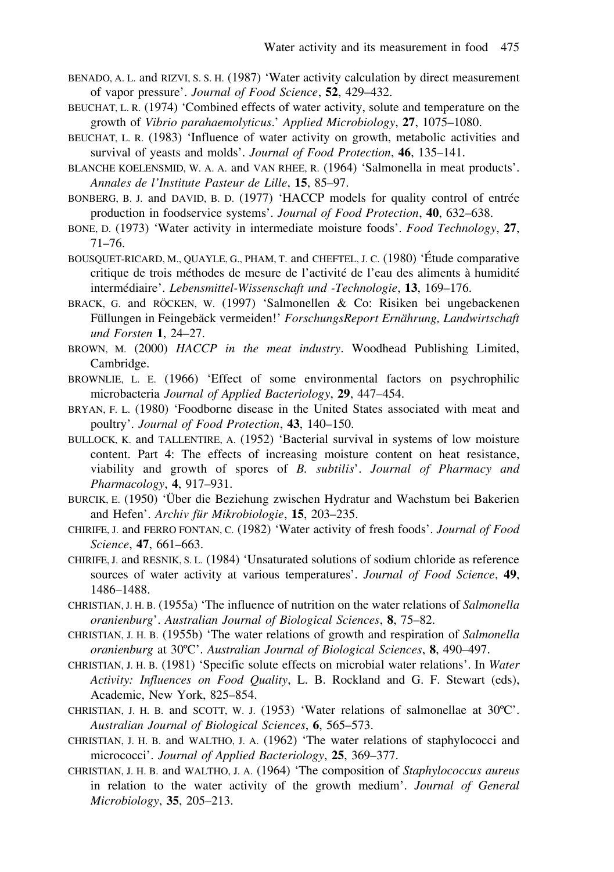- BENADO, A. L. and RIZVI, S. S. H. (1987) 'Water activity calculation by direct measurement of vapor pressure'. *Journal of Food Science*, **52**, 429–432.
- BEUCHAT, L. R. (1974) 'Combined effects of water activity, solute and temperature on the growth of *Vibrio parahaemolyticus*.' *Applied Microbiology*, **27**, 1075–1080.
- BEUCHAT, L. R. (1983) 'Influence of water activity on growth, metabolic activities and survival of yeasts and molds'. *Journal of Food Protection*, **46**, 135–141.
- BLANCHE KOELENSMID, W. A. A. and VAN RHEE, R. (1964) 'Salmonella in meat products'. *Annales de l'Institute Pasteur de Lille*, **15**, 85–97.
- BONBERG, B. J. and DAVID, B. D. (1977) 'HACCP models for quality control of entrée production in foodservice systems'. *Journal of Food Protection*, **40**, 632–638.
- BONE, D. (1973) 'Water activity in intermediate moisture foods'. *Food Technology*, **27**, 71–76.
- BOUSQUET-RICARD, M., QUAYLE, G., PHAM, T. and CHEFTEL, J. C. (1980) 'Étude comparative critique de trois méthodes de mesure de l'activité de l'eau des aliments à humidité interme´diaire'. *Lebensmittel-Wissenschaft und -Technologie*, **13**, 169–176.
- BRACK, G. and RÖCKEN, W. (1997) 'Salmonellen & Co: Risiken bei ungebackenen Füllungen in Feingebäck vermeiden!' *ForschungsReport Ernährung, Landwirtschaft und Forsten* **1**, 24–27.
- BROWN, M. (2000) *HACCP in the meat industry*. Woodhead Publishing Limited, Cambridge.
- BROWNLIE, L. E. (1966) 'Effect of some environmental factors on psychrophilic microbacteria *Journal of Applied Bacteriology*, **29**, 447–454.
- BRYAN, F. L. (1980) 'Foodborne disease in the United States associated with meat and poultry'. *Journal of Food Protection*, **43**, 140–150.
- BULLOCK, K. and TALLENTIRE, A. (1952) 'Bacterial survival in systems of low moisture content. Part 4: The effects of increasing moisture content on heat resistance, viability and growth of spores of *B. subtilis*'. *Journal of Pharmacy and Pharmacology*, **4**, 917–931.
- BURCIK, E. (1950) 'Über die Beziehung zwischen Hydratur and Wachstum bei Bakerien and Hefen'. *Archiv fu¨r Mikrobiologie*, **15**, 203–235.
- CHIRIFE, J. and FERRO FONTAN, C. (1982) 'Water activity of fresh foods'. *Journal of Food Science*, **47**, 661–663.
- CHIRIFE, J. and RESNIK, S. L. (1984) 'Unsaturated solutions of sodium chloride as reference sources of water activity at various temperatures'. *Journal of Food Science*, **49**, 1486–1488.
- CHRISTIAN, J. H. B. (1955a) 'The influence of nutrition on the water relations of *Salmonella oranienburg*'. *Australian Journal of Biological Sciences*, **8**, 75–82.
- CHRISTIAN, J. H. B. (1955b) 'The water relations of growth and respiration of *Salmonella oranienburg* at 30ºC'. *Australian Journal of Biological Sciences*, **8**, 490–497.
- CHRISTIAN, J. H. B. (1981) 'Specific solute effects on microbial water relations'. In *Water Activity: Influences on Food Quality*, L. B. Rockland and G. F. Stewart (eds), Academic, New York, 825–854.
- CHRISTIAN, J. H. B. and SCOTT, W. J. (1953) 'Water relations of salmonellae at  $30^{\circ}$ C'. *Australian Journal of Biological Sciences*, **6**, 565–573.
- CHRISTIAN, J. H. B. and WALTHO, J. A. (1962) 'The water relations of staphylococci and micrococci'. *Journal of Applied Bacteriology*, **25**, 369–377.
- CHRISTIAN, J. H. B. and WALTHO, J. A. (1964) 'The composition of *Staphylococcus aureus* in relation to the water activity of the growth medium'. *Journal of General Microbiology*, **35**, 205–213.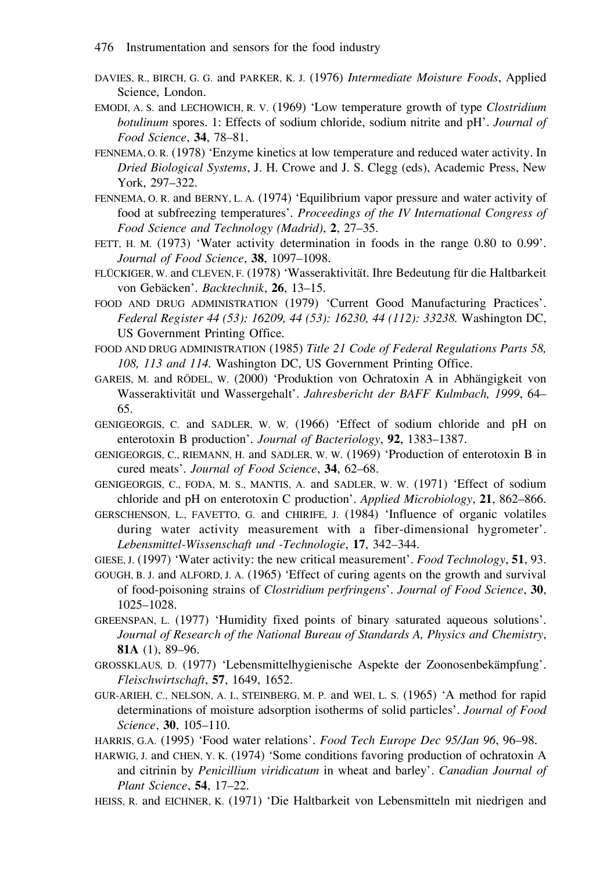- DAVIES, R., BIRCH, G. G. and PARKER, K. J. (1976) *Intermediate Moisture Foods*, Applied Science, London.
- EMODI, A. S. and LECHOWICH, R. V. (1969) 'Low temperature growth of type *Clostridium botulinum* spores. 1: Effects of sodium chloride, sodium nitrite and pH'. *Journal of Food Science*, **34**, 78–81.
- FENNEMA, O. R. (1978) 'Enzyme kinetics at low temperature and reduced water activity. In *Dried Biological Systems*, J. H. Crowe and J. S. Clegg (eds), Academic Press, New York, 297–322.
- FENNEMA, O. R. and BERNY, L. A. (1974) 'Equilibrium vapor pressure and water activity of food at subfreezing temperatures'. *Proceedings of the IV International Congress of Food Science and Technology (Madrid)*, **2**, 27–35.
- FETT, H. M. (1973) 'Water activity determination in foods in the range 0.80 to 0.99'. *Journal of Food Science*, **38**, 1097–1098.
- FLÜCKIGER, W. and CLEVEN, F. (1978) 'Wasseraktivität. Ihre Bedeutung für die Haltbarkeit von Gebäcken'. *Backtechnik*, 26, 13-15.
- FOOD AND DRUG ADMINISTRATION (1979) 'Current Good Manufacturing Practices'. *Federal Register 44 (53): 16209, 44 (53): 16230, 44 (112): 33238.* Washington DC, US Government Printing Office.
- FOOD AND DRUG ADMINISTRATION (1985) *Title 21 Code of Federal Regulations Parts 58, 108, 113 and 114.* Washington DC, US Government Printing Office.
- GAREIS, M. and RÖDEL, W. (2000) 'Produktion von Ochratoxin A in Abhängigkeit von Wasseraktivität und Wassergehalt'. Jahresbericht der BAFF Kulmbach, 1999, 64– 65.
- GENIGEORGIS, C. and SADLER, W. W. (1966) 'Effect of sodium chloride and pH on enterotoxin B production'. *Journal of Bacteriology*, **92**, 1383–1387.
- GENIGEORGIS, C., RIEMANN, H. and SADLER, W. W. (1969) 'Production of enterotoxin B in cured meats'. *Journal of Food Science*, **34**, 62–68.
- GENIGEORGIS, C., FODA, M. S., MANTIS, A. and SADLER, W. W. (1971) 'Effect of sodium chloride and pH on enterotoxin C production'. *Applied Microbiology*, **21**, 862–866.
- GERSCHENSON, L., FAVETTO, G. and CHIRIFE, J. (1984) 'Influence of organic volatiles during water activity measurement with a fiber-dimensional hygrometer'. *Lebensmittel-Wissenschaft und -Technologie*, **17**, 342–344.
- GIESE, J. (1997) 'Water activity: the new critical measurement'. *Food Technology*, **51**, 93.
- GOUGH, B. J. and ALFORD, J. A. (1965) 'Effect of curing agents on the growth and survival of food-poisoning strains of *Clostridium perfringens*'. *Journal of Food Science*, **30**, 1025–1028.
- GREENSPAN, L. (1977) 'Humidity fixed points of binary saturated aqueous solutions'. *Journal of Research of the National Bureau of Standards A, Physics and Chemistry*, **81A** (1), 89–96.
- GROSSKLAUS, D. (1977) 'Lebensmittelhygienische Aspekte der Zoonosenbekämpfung'. *Fleischwirtschaft*, **57**, 1649, 1652.
- GUR-ARIEH, C., NELSON, A. I., STEINBERG, M. P. and WEI, L. S. (1965) 'A method for rapid determinations of moisture adsorption isotherms of solid particles'. *Journal of Food Science*, **30**, 105–110.
- HARRIS, G.A. (1995) 'Food water relations'. *Food Tech Europe Dec 95/Jan 96*, 96–98.
- HARWIG, J. and CHEN, Y. K. (1974) 'Some conditions favoring production of ochratoxin A and citrinin by *Penicillium viridicatum* in wheat and barley'. *Canadian Journal of Plant Science*, **54**, 17–22.
- HEISS, R. and EICHNER, K. (1971) 'Die Haltbarkeit von Lebensmitteln mit niedrigen and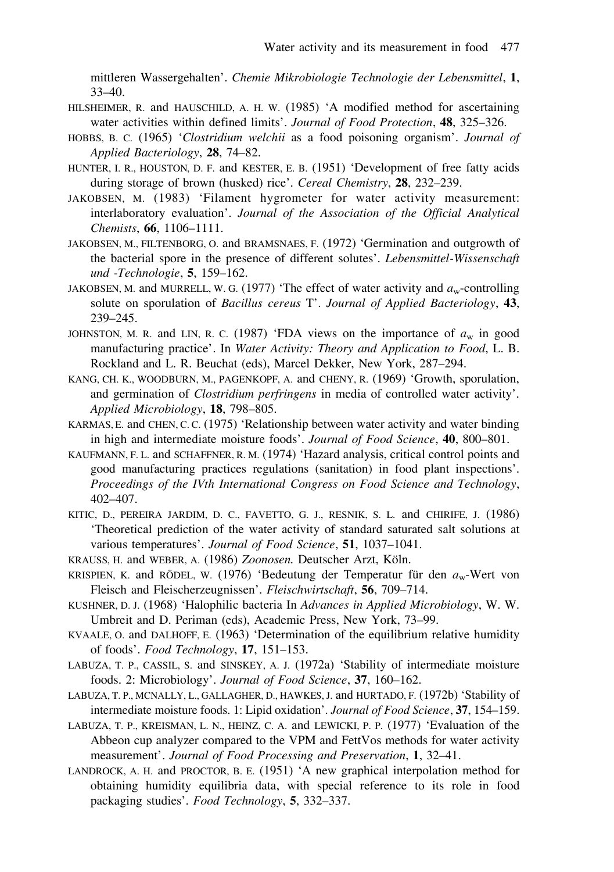mittleren Wassergehalten'. *Chemie Mikrobiologie Technologie der Lebensmittel*, **1**, 33–40.

- HILSHEIMER, R. and HAUSCHILD, A. H. W. (1985) 'A modified method for ascertaining water activities within defined limits'. *Journal of Food Protection*, **48**, 325–326.
- HOBBS, B. C. (1965) '*Clostridium welchii* as a food poisoning organism'. *Journal of Applied Bacteriology*, **28**, 74–82.
- HUNTER, I. R., HOUSTON, D. F. and KESTER, E. B. (1951) 'Development of free fatty acids during storage of brown (husked) rice'. *Cereal Chemistry*, **28**, 232–239.
- JAKOBSEN, M. (1983) 'Filament hygrometer for water activity measurement: interlaboratory evaluation'. *Journal of the Association of the Official Analytical Chemists*, **66**, 1106–1111.
- JAKOBSEN, M., FILTENBORG, O. and BRAMSNAES, F. (1972) 'Germination and outgrowth of the bacterial spore in the presence of different solutes'. *Lebensmittel-Wissenschaft und -Technologie*, **5**, 159–162.
- JAKOBSEN, M. and MURRELL, W. G.  $(1977)$  'The effect of water activity and  $a_w$ -controlling solute on sporulation of *Bacillus cereus* T'. *Journal of Applied Bacteriology*, **43**, 239–245.
- JOHNSTON, M. R. and LIN, R. C. (1987) 'FDA views on the importance of  $a_w$  in good manufacturing practice'. In *Water Activity: Theory and Application to Food*, L. B. Rockland and L. R. Beuchat (eds), Marcel Dekker, New York, 287–294.
- KANG, CH. K., WOODBURN, M., PAGENKOPF, A. and CHENY, R. (1969) 'Growth, sporulation, and germination of *Clostridium perfringens* in media of controlled water activity'. *Applied Microbiology*, **18**, 798–805.
- KARMAS, E. and CHEN, C. C. (1975) 'Relationship between water activity and water binding in high and intermediate moisture foods'. *Journal of Food Science*, **40**, 800–801.
- KAUFMANN, F. L. and SCHAFFNER, R. M. (1974) 'Hazard analysis, critical control points and good manufacturing practices regulations (sanitation) in food plant inspections'. *Proceedings of the IVth International Congress on Food Science and Technology*, 402–407.
- KITIC, D., PEREIRA JARDIM, D. C., FAVETTO, G. J., RESNIK, S. L. and CHIRIFE, J. (1986) 'Theoretical prediction of the water activity of standard saturated salt solutions at various temperatures'. *Journal of Food Science*, **51**, 1037–1041.
- KRAUSS, H. and WEBER, A. (1986) *Zoonosen*. Deutscher Arzt, Köln.
- KRISPIEN, K. and RÖDEL, W. (1976) 'Bedeutung der Temperatur für den  $a_w$ -Wert von Fleisch and Fleischerzeugnissen'. *Fleischwirtschaft*, **56**, 709–714.
- KUSHNER, D. J. (1968) 'Halophilic bacteria In *Advances in Applied Microbiology*, W. W. Umbreit and D. Periman (eds), Academic Press, New York, 73–99.
- KVAALE, O. and DALHOFF, E. (1963) 'Determination of the equilibrium relative humidity of foods'. *Food Technology*, **17**, 151–153.
- LABUZA, T. P., CASSIL, S. and SINSKEY, A. J. (1972a) 'Stability of intermediate moisture foods. 2: Microbiology'. *Journal of Food Science*, **37**, 160–162.
- LABUZA, T. P., MCNALLY, L., GALLAGHER, D., HAWKES, J. and HURTADO, F. (1972b) 'Stability of intermediate moisture foods. 1: Lipid oxidation'. *Journal of Food Science*, **37**, 154–159.
- LABUZA, T. P., KREISMAN, L. N., HEINZ, C. A. and LEWICKI, P. P. (1977) 'Evaluation of the Abbeon cup analyzer compared to the VPM and FettVos methods for water activity measurement'. *Journal of Food Processing and Preservation*, **1**, 32–41.
- LANDROCK, A. H. and PROCTOR, B. E. (1951) 'A new graphical interpolation method for obtaining humidity equilibria data, with special reference to its role in food packaging studies'. *Food Technology*, **5**, 332–337.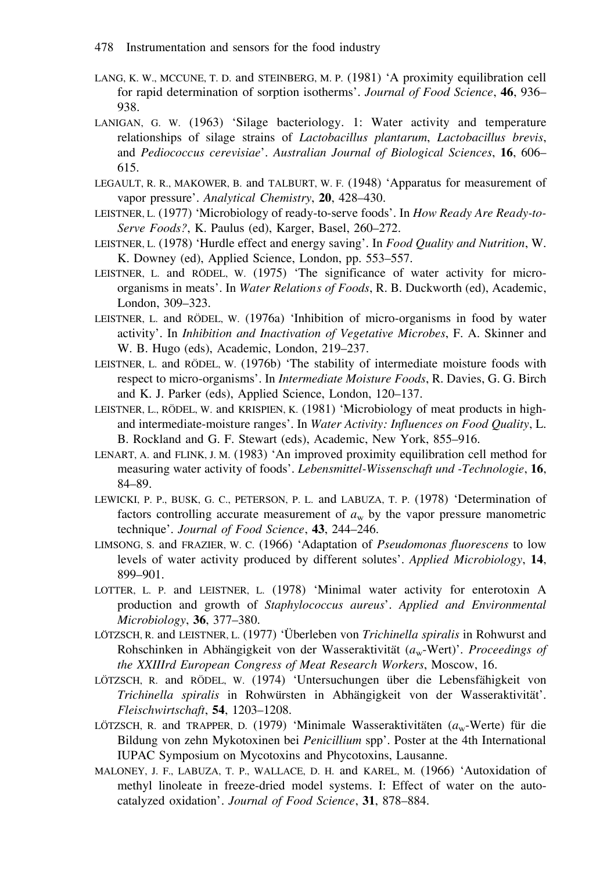- LANG, K. W., MCCUNE, T. D. and STEINBERG, M. P. (1981) 'A proximity equilibration cell for rapid determination of sorption isotherms'. *Journal of Food Science*, **46**, 936– 938.
- LANIGAN, G. W. (1963) 'Silage bacteriology. 1: Water activity and temperature relationships of silage strains of *Lactobacillus plantarum*, *Lactobacillus brevis*, and *Pediococcus cerevisiae*'. *Australian Journal of Biological Sciences*, **16**, 606– 615.
- LEGAULT, R. R., MAKOWER, B. and TALBURT, W. F. (1948) 'Apparatus for measurement of vapor pressure'. *Analytical Chemistry*, **20**, 428–430.
- LEISTNER, L. (1977) 'Microbiology of ready-to-serve foods'. In *How Ready Are Ready-to-Serve Foods?*, K. Paulus (ed), Karger, Basel, 260–272.
- LEISTNER, L. (1978) 'Hurdle effect and energy saving'. In *Food Quality and Nutrition*, W. K. Downey (ed), Applied Science, London, pp. 553–557.
- LEISTNER, L. and RÖDEL, W.  $(1975)$  'The significance of water activity for microorganisms in meats'. In *Water Relations of Foods*, R. B. Duckworth (ed), Academic, London, 309–323.
- LEISTNER, L. and RÖDEL, W. (1976a) 'Inhibition of micro-organisms in food by water activity'. In *Inhibition and Inactivation of Vegetative Microbes*, F. A. Skinner and W. B. Hugo (eds), Academic, London, 219–237.
- LEISTNER, L. and RÖDEL, W. (1976b) 'The stability of intermediate moisture foods with respect to micro-organisms'. In *Intermediate Moisture Foods*, R. Davies, G. G. Birch and K. J. Parker (eds), Applied Science, London, 120–137.
- LEISTNER, L., RÖDEL, W. and KRISPIEN, K. (1981) 'Microbiology of meat products in highand intermediate-moisture ranges'. In *Water Activity: Influences on Food Quality*, L. B. Rockland and G. F. Stewart (eds), Academic, New York, 855–916.
- LENART, A. and FLINK, J. M. (1983) 'An improved proximity equilibration cell method for measuring water activity of foods'. *Lebensmittel-Wissenschaft und -Technologie*, **16**, 84–89.
- LEWICKI, P. P., BUSK, G. C., PETERSON, P. L. and LABUZA, T. P. (1978) 'Determination of factors controlling accurate measurement of  $a_w$  by the vapor pressure manometric technique'. *Journal of Food Science*, **43**, 244–246.
- LIMSONG, S. and FRAZIER, W. C. (1966) 'Adaptation of *Pseudomonas fluorescens* to low levels of water activity produced by different solutes'. *Applied Microbiology*, **14**, 899–901.
- LOTTER, L. P. and LEISTNER, L. (1978) 'Minimal water activity for enterotoxin A production and growth of *Staphylococcus aureus*'. *Applied and Environmental Microbiology*, **36**, 377–380.
- LÖTZSCH, R. and LEISTNER, L. (1977) 'Überleben von *Trichinella spiralis* in Rohwurst and Rohschinken in Abhängigkeit von der Wasseraktivität ( $a_w$ -Wert)'. *Proceedings of the XXIIIrd European Congress of Meat Research Workers*, Moscow, 16.
- LÖTZSCH, R. and RÖDEL, W. (1974) 'Untersuchungen über die Lebensfähigkeit von *Trichinella spiralis* in Rohwürsten in Abhängigkeit von der Wasseraktivität'. *Fleischwirtschaft*, **54**, 1203–1208.
- LÖTZSCH, R. and TRAPPER, D. (1979) 'Minimale Wasseraktivitäten  $(a<sub>w</sub>$ -Werte) für die Bildung von zehn Mykotoxinen bei *Penicillium* spp'. Poster at the 4th International IUPAC Symposium on Mycotoxins and Phycotoxins, Lausanne.
- MALONEY, J. F., LABUZA, T. P., WALLACE, D. H. and KAREL, M. (1966) 'Autoxidation of methyl linoleate in freeze-dried model systems. I: Effect of water on the autocatalyzed oxidation'. *Journal of Food Science*, **31**, 878–884.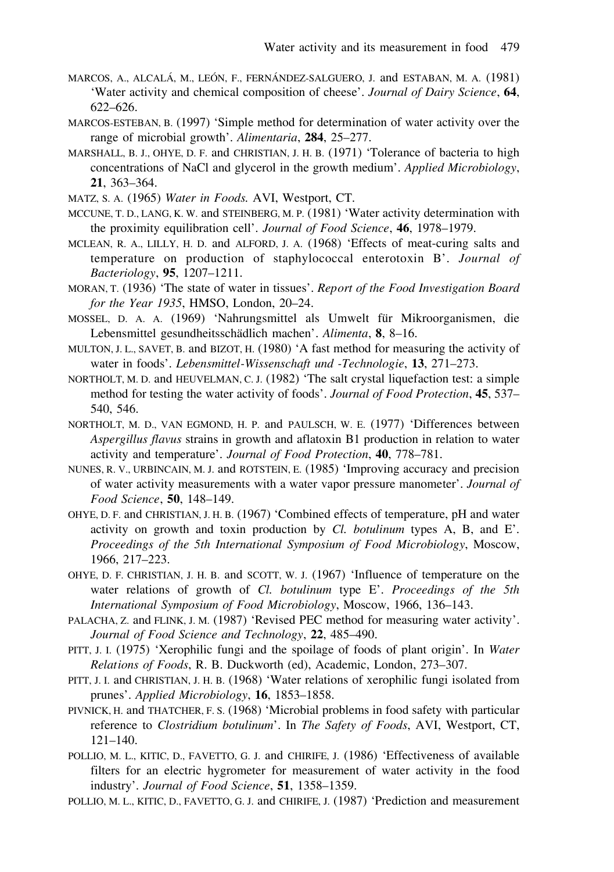- MARCOS, A., ALCALÁ, M., LEÓN, F., FERNÁNDEZ-SALGUERO, J. and ESTABAN, M. A. (1981) 'Water activity and chemical composition of cheese'. *Journal of Dairy Science*, **64**, 622–626.
- MARCOS-ESTEBAN, B. (1997) 'Simple method for determination of water activity over the range of microbial growth'. *Alimentaria*, **284**, 25–277.
- MARSHALL, B. J., OHYE, D. F. and CHRISTIAN, J. H. B. (1971) 'Tolerance of bacteria to high concentrations of NaCl and glycerol in the growth medium'. *Applied Microbiology*, **21**, 363–364.
- MATZ, S. A. (1965) *Water in Foods.* AVI, Westport, CT.
- MCCUNE, T. D., LANG, K. W. and STEINBERG, M. P. (1981) 'Water activity determination with the proximity equilibration cell'. *Journal of Food Science*, **46**, 1978–1979.
- MCLEAN, R. A., LILLY, H. D. and ALFORD, J. A. (1968) 'Effects of meat-curing salts and temperature on production of staphylococcal enterotoxin B'. *Journal of Bacteriology*, **95**, 1207–1211.
- MORAN, T. (1936) 'The state of water in tissues'. *Report of the Food Investigation Board for the Year 1935*, HMSO, London, 20–24.
- MOSSEL, D. A. A. (1969) 'Nahrungsmittel als Umwelt für Mikroorganismen, die Lebensmittel gesundheitsschädlich machen'. *Alimenta*, 8, 8–16.
- MULTON, J. L., SAVET, B. and BIZOT, H. (1980) 'A fast method for measuring the activity of water in foods'. *Lebensmittel-Wissenschaft und -Technologie*, **13**, 271–273.
- NORTHOLT, M. D. and HEUVELMAN, C. J. (1982) 'The salt crystal liquefaction test: a simple method for testing the water activity of foods'. *Journal of Food Protection*, **45**, 537– 540, 546.
- NORTHOLT, M. D., VAN EGMOND, H. P. and PAULSCH, W. E. (1977) 'Differences between *Aspergillus flavus* strains in growth and aflatoxin B1 production in relation to water activity and temperature'. *Journal of Food Protection*, **40**, 778–781.
- NUNES, R. V., URBINCAIN, M. J. and ROTSTEIN, E. (1985) 'Improving accuracy and precision of water activity measurements with a water vapor pressure manometer'. *Journal of Food Science*, **50**, 148–149.
- OHYE, D. F. and CHRISTIAN, J. H. B. (1967) 'Combined effects of temperature, pH and water activity on growth and toxin production by *Cl. botulinum* types A, B, and E'. *Proceedings of the 5th International Symposium of Food Microbiology*, Moscow, 1966, 217–223.
- OHYE, D. F. CHRISTIAN, J. H. B. and SCOTT, W. J. (1967) 'Influence of temperature on the water relations of growth of *Cl. botulinum* type E'. *Proceedings of the 5th International Symposium of Food Microbiology*, Moscow, 1966, 136–143.
- PALACHA, Z. and FLINK, J. M. (1987) 'Revised PEC method for measuring water activity'. *Journal of Food Science and Technology*, **22**, 485–490.
- PITT, J. I. (1975) 'Xerophilic fungi and the spoilage of foods of plant origin'. In *Water Relations of Foods*, R. B. Duckworth (ed), Academic, London, 273–307.
- PITT, J. I. and CHRISTIAN, J. H. B. (1968) 'Water relations of xerophilic fungi isolated from prunes'. *Applied Microbiology*, **16**, 1853–1858.
- PIVNICK, H. and THATCHER, F. S. (1968) 'Microbial problems in food safety with particular reference to *Clostridium botulinum*'. In *The Safety of Foods*, AVI, Westport, CT, 121–140.
- POLLIO, M. L., KITIC, D., FAVETTO, G. J. and CHIRIFE, J. (1986) 'Effectiveness of available filters for an electric hygrometer for measurement of water activity in the food industry'. *Journal of Food Science*, **51**, 1358–1359.
- POLLIO, M. L., KITIC, D., FAVETTO, G. J. and CHIRIFE, J. (1987) 'Prediction and measurement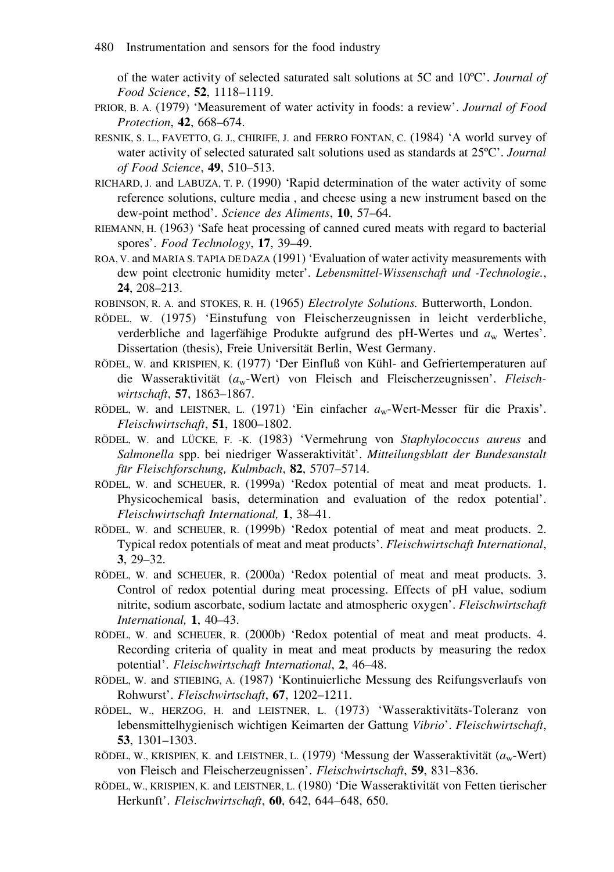of the water activity of selected saturated salt solutions at 5C and 10ºC'. *Journal of Food Science*, **52**, 1118–1119.

- PRIOR, B. A. (1979) 'Measurement of water activity in foods: a review'. *Journal of Food Protection*, **42**, 668–674.
- RESNIK, S. L., FAVETTO, G. J., CHIRIFE, J. and FERRO FONTAN, C. (1984) 'A world survey of water activity of selected saturated salt solutions used as standards at 25ºC'. *Journal of Food Science*, **49**, 510–513.
- RICHARD, J. and LABUZA, T. P. (1990) 'Rapid determination of the water activity of some reference solutions, culture media , and cheese using a new instrument based on the dew-point method'. *Science des Aliments*, **10**, 57–64.
- RIEMANN, H. (1963) 'Safe heat processing of canned cured meats with regard to bacterial spores'. *Food Technology*, **17**, 39–49.
- ROA, V. and MARIA S. TAPIA DE DAZA (1991) 'Evaluation of water activity measurements with dew point electronic humidity meter'. *Lebensmittel-Wissenschaft und -Technologie.*, **24**, 208–213.
- ROBINSON, R. A. and STOKES, R. H. (1965) *Electrolyte Solutions.* Butterworth, London.
- RÖDEL, W. (1975) 'Einstufung von Fleischerzeugnissen in leicht verderbliche, verderbliche and lagerfähige Produkte aufgrund des pH-Wertes und  $a_w$  Wertes'. Dissertation (thesis), Freie Universität Berlin, West Germany.
- RÖDEL, W. and KRISPIEN, K. (1977) 'Der Einfluß von Kühl- and Gefriertemperaturen auf die Wasseraktivität (a<sub>w</sub>-Wert) von Fleisch and Fleischerzeugnissen'. *Fleischwirtschaft*, **57**, 1863–1867.
- RÖDEL, W. and LEISTNER, L. (1971) 'Ein einfacher  $a_w$ -Wert-Messer für die Praxis'. *Fleischwirtschaft*, **51**, 1800–1802.
- RÖDEL, W. and LÜCKE, F. -K. (1983) 'Vermehrung von *Staphylococcus aureus* and *Salmonella* spp. bei niedriger Wasseraktivita¨t'. *Mitteilungsblatt der Bundesanstalt fu¨r Fleischforschung, Kulmbach*, **82**, 5707–5714.
- RÖDEL, W. and SCHEUER, R. (1999a) 'Redox potential of meat and meat products. 1. Physicochemical basis, determination and evaluation of the redox potential'. *Fleischwirtschaft International,* **1**, 38–41.
- RÖDEL, W. and SCHEUER, R. (1999b) 'Redox potential of meat and meat products. 2. Typical redox potentials of meat and meat products'. *Fleischwirtschaft International*, **3**, 29–32.
- RÖDEL, W. and SCHEUER, R. (2000a) 'Redox potential of meat and meat products. 3. Control of redox potential during meat processing. Effects of pH value, sodium nitrite, sodium ascorbate, sodium lactate and atmospheric oxygen'. *Fleischwirtschaft International,* **1**, 40–43.
- RÖDEL, W. and SCHEUER, R. (2000b) 'Redox potential of meat and meat products. 4. Recording criteria of quality in meat and meat products by measuring the redox potential'. *Fleischwirtschaft International*, **2**, 46–48.
- RÖDEL, W. and STIEBING, A. (1987) 'Kontinuierliche Messung des Reifungsverlaufs von Rohwurst'. *Fleischwirtschaft*, **67**, 1202–1211.
- RÖDEL, W., HERZOG, H. and LEISTNER, L. (1973) 'Wasseraktivitäts-Toleranz von lebensmittelhygienisch wichtigen Keimarten der Gattung *Vibrio*'. *Fleischwirtschaft*, **53**, 1301–1303.
- RÖDEL, W., KRISPIEN, K. and LEISTNER, L. (1979) 'Messung der Wasseraktivität ( $a_w$ -Wert) von Fleisch and Fleischerzeugnissen'. *Fleischwirtschaft*, **59**, 831–836.
- RÖDEL, W., KRISPIEN, K. and LEISTNER, L. (1980) 'Die Wasseraktivität von Fetten tierischer Herkunft'. *Fleischwirtschaft*, **60**, 642, 644–648, 650.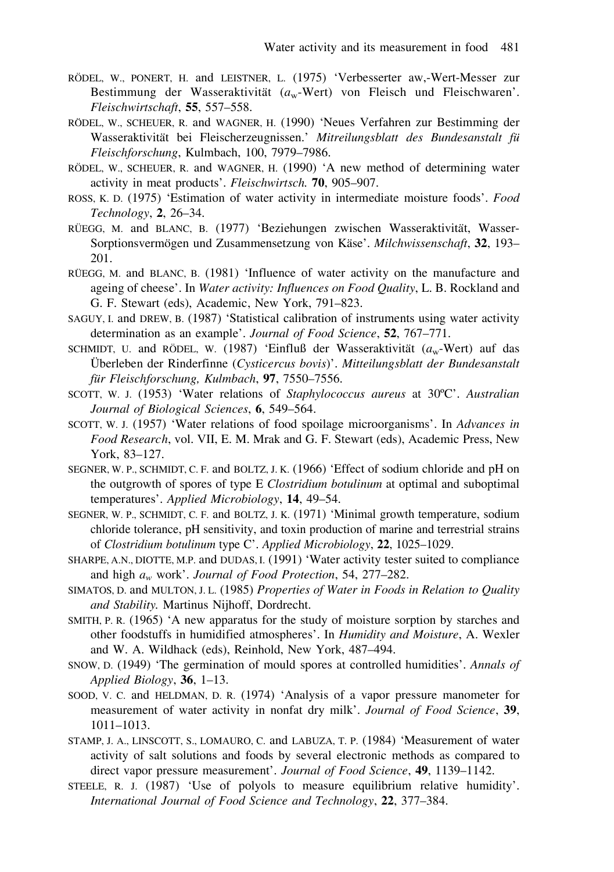- RÖDEL, W., PONERT, H. and LEISTNER, L. (1975) 'Verbesserter aw,-Wert-Messer zur Bestimmung der Wasseraktivität ( $a_w$ -Wert) von Fleisch und Fleischwaren'. *Fleischwirtschaft*, **55**, 557–558.
- RÖDEL, W., SCHEUER, R. and WAGNER, H. (1990) 'Neues Verfahren zur Bestimming der Wasseraktivität bei Fleischerzeugnissen.' Mitreilungsblatt des Bundesanstalt fü *Fleischforschung*, Kulmbach, 100, 7979–7986.
- RÖDEL, W., SCHEUER, R. and WAGNER, H. (1990) 'A new method of determining water activity in meat products'. *Fleischwirtsch.* **70**, 905–907.
- ROSS, K. D. (1975) 'Estimation of water activity in intermediate moisture foods'. *Food Technology*, **2**, 26–34.
- RUEGG, M. and BLANC, B. (1977) 'Beziehungen zwischen Wasseraktivität, Wasser-Sorptionsvermögen und Zusammensetzung von Käse'. *Milchwissenschaft*, **32**, 193– 201.
- RÜEGG, M. and BLANC, B.  $(1981)$  'Influence of water activity on the manufacture and ageing of cheese'. In *Water activity: Influences on Food Quality*, L. B. Rockland and G. F. Stewart (eds), Academic, New York, 791–823.
- SAGUY, I. and DREW, B. (1987) 'Statistical calibration of instruments using water activity determination as an example'. *Journal of Food Science*, **52**, 767–771.
- SCHMIDT, U. and RÖDEL, W. (1987) 'Einfluß der Wasseraktivität  $(a<sub>w</sub>-Wert)$  auf das Überleben der Rinderfinne (Cysticercus bovis)'. Mitteilungsblatt der Bundesanstalt *fu¨r Fleischforschung, Kulmbach*, **97**, 7550–7556.
- SCOTT, W. J. (1953) 'Water relations of *Staphylococcus aureus* at 30ºC'. *Australian Journal of Biological Sciences*, **6**, 549–564.
- SCOTT, W. J. (1957) 'Water relations of food spoilage microorganisms'. In *Advances in Food Research*, vol. VII, E. M. Mrak and G. F. Stewart (eds), Academic Press, New York, 83–127.
- SEGNER, W. P., SCHMIDT, C. F. and BOLTZ, J. K. (1966) 'Effect of sodium chloride and pH on the outgrowth of spores of type E *Clostridium botulinum* at optimal and suboptimal temperatures'. *Applied Microbiology*, **14**, 49–54.
- SEGNER, W. P., SCHMIDT, C. F. and BOLTZ, J. K. (1971) 'Minimal growth temperature, sodium chloride tolerance, pH sensitivity, and toxin production of marine and terrestrial strains of *Clostridium botulinum* type C'. *Applied Microbiology*, **22**, 1025–1029.
- SHARPE, A.N., DIOTTE, M.P. and DUDAS, I. (1991) 'Water activity tester suited to compliance and high *aw* work'. *Journal of Food Protection*, 54, 277–282.
- SIMATOS, D. and MULTON, J. L. (1985) *Properties of Water in Foods in Relation to Quality and Stability.* Martinus Nijhoff, Dordrecht.
- SMITH, P. R. (1965) 'A new apparatus for the study of moisture sorption by starches and other foodstuffs in humidified atmospheres'. In *Humidity and Moisture*, A. Wexler and W. A. Wildhack (eds), Reinhold, New York, 487–494.
- SNOW, D. (1949) 'The germination of mould spores at controlled humidities'. *Annals of Applied Biology*, **36**, 1–13.
- SOOD, V. C. and HELDMAN, D. R. (1974) 'Analysis of a vapor pressure manometer for measurement of water activity in nonfat dry milk'. *Journal of Food Science*, **39**, 1011–1013.
- STAMP, J. A., LINSCOTT, S., LOMAURO, C. and LABUZA, T. P. (1984) 'Measurement of water activity of salt solutions and foods by several electronic methods as compared to direct vapor pressure measurement'. *Journal of Food Science*, **49**, 1139–1142.
- STEELE, R. J. (1987) 'Use of polyols to measure equilibrium relative humidity'. *International Journal of Food Science and Technology*, **22**, 377–384.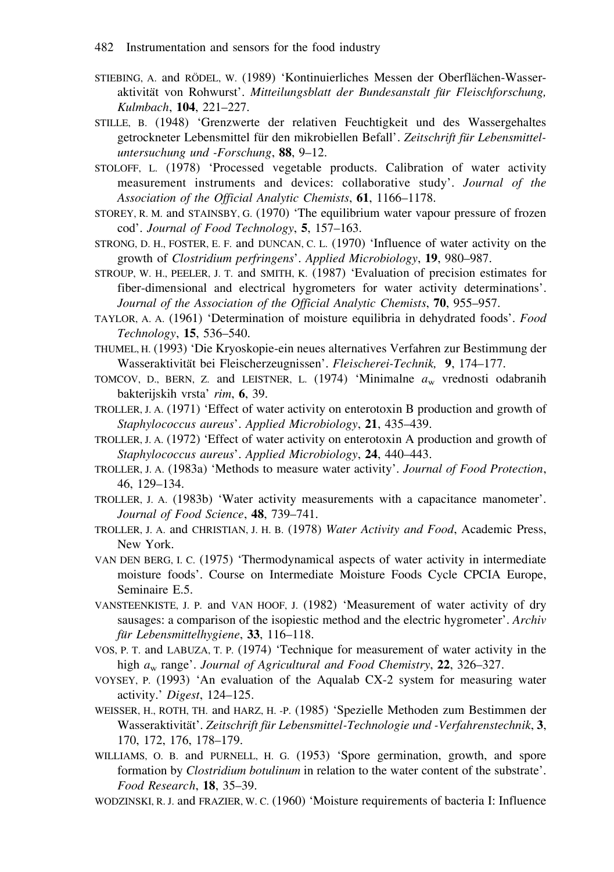- STIEBING, A. and RÖDEL, W. (1989) 'Kontinuierliches Messen der Oberflächen-Wasseraktivita¨t von Rohwurst'. *Mitteilungsblatt der Bundesanstalt fu¨r Fleischforschung, Kulmbach*, **104**, 221–227.
- STILLE, B. (1948) 'Grenzwerte der relativen Feuchtigkeit und des Wassergehaltes getrockneter Lebensmittel für den mikrobiellen Befall'. Zeitschrift für Lebensmittel*untersuchung und -Forschung*, **88**, 9–12.
- STOLOFF, L. (1978) 'Processed vegetable products. Calibration of water activity measurement instruments and devices: collaborative study'. *Journal of the Association of the Official Analytic Chemists*, **61**, 1166–1178.
- STOREY, R. M. and STAINSBY, G. (1970) 'The equilibrium water vapour pressure of frozen cod'. *Journal of Food Technology*, **5**, 157–163.
- STRONG, D. H., FOSTER, E. F. and DUNCAN, C. L. (1970) 'Influence of water activity on the growth of *Clostridium perfringens*'. *Applied Microbiology*, **19**, 980–987.
- STROUP, W. H., PEELER, J. T. and SMITH, K. (1987) 'Evaluation of precision estimates for fiber-dimensional and electrical hygrometers for water activity determinations'. *Journal of the Association of the Official Analytic Chemists*, **70**, 955–957.
- TAYLOR, A. A. (1961) 'Determination of moisture equilibria in dehydrated foods'. *Food Technology*, **15**, 536–540.
- THUMEL, H. (1993) 'Die Kryoskopie-ein neues alternatives Verfahren zur Bestimmung der Wasseraktivita¨t bei Fleischerzeugnissen'. *Fleischerei-Technik,* **9**, 174–177.
- TOMCOV, D., BERN, Z. and LEISTNER, L. (1974) 'Minimalne *a*<sup>w</sup> vrednosti odabranih bakterijskih vrsta' *rim*, **6**, 39.
- TROLLER, J. A. (1971) 'Effect of water activity on enterotoxin B production and growth of *Staphylococcus aureus*'. *Applied Microbiology*, **21**, 435–439.
- TROLLER, J. A. (1972) 'Effect of water activity on enterotoxin A production and growth of *Staphylococcus aureus*'. *Applied Microbiology*, **24**, 440–443.
- TROLLER, J. A. (1983a) 'Methods to measure water activity'. *Journal of Food Protection*, 46, 129–134.
- TROLLER, J. A. (1983b) 'Water activity measurements with a capacitance manometer'. *Journal of Food Science*, **48**, 739–741.
- TROLLER, J. A. and CHRISTIAN, J. H. B. (1978) *Water Activity and Food*, Academic Press, New York.
- VAN DEN BERG, I. C. (1975) 'Thermodynamical aspects of water activity in intermediate moisture foods'. Course on Intermediate Moisture Foods Cycle CPCIA Europe, Seminaire E.5.
- VANSTEENKISTE, J. P. and VAN HOOF, J. (1982) 'Measurement of water activity of dry sausages: a comparison of the isopiestic method and the electric hygrometer'. *Archiv fu¨r Lebensmittelhygiene*, **33**, 116–118.
- VOS, P. T. and LABUZA, T. P. (1974) 'Technique for measurement of water activity in the high *a*<sup>w</sup> range'. *Journal of Agricultural and Food Chemistry*, **22**, 326–327.
- VOYSEY, P. (1993) 'An evaluation of the Aqualab CX-2 system for measuring water activity.' *Digest*, 124–125.
- WEISSER, H., ROTH, TH. and HARZ, H. -P. (1985) 'Spezielle Methoden zum Bestimmen der Wasseraktivita¨t'. *Zeitschrift fu¨r Lebensmittel-Technologie und -Verfahrenstechnik*, **3**, 170, 172, 176, 178–179.
- WILLIAMS, O. B. and PURNELL, H. G. (1953) 'Spore germination, growth, and spore formation by *Clostridium botulinum* in relation to the water content of the substrate'. *Food Research*, **18**, 35–39.
- WODZINSKI, R. J. and FRAZIER, W. C. (1960) 'Moisture requirements of bacteria I: Influence